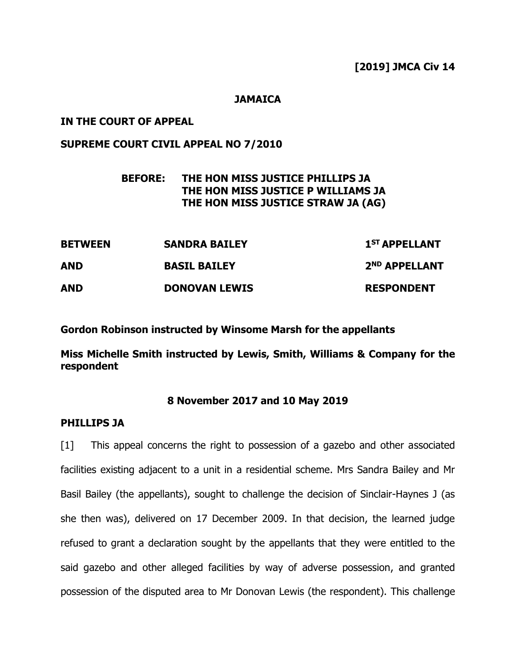## **JAMAICA**

## **IN THE COURT OF APPEAL**

# **SUPREME COURT CIVIL APPEAL NO 7/2010**

# **BEFORE: THE HON MISS JUSTICE PHILLIPS JA THE HON MISS JUSTICE P WILLIAMS JA THE HON MISS JUSTICE STRAW JA (AG)**

| <b>BETWEEN</b> | <b>SANDRA BAILEY</b> | 1 <sup>ST</sup> APPELLANT |
|----------------|----------------------|---------------------------|
| <b>AND</b>     | <b>BASIL BAILEY</b>  | 2 <sup>ND</sup> APPELLANT |
| <b>AND</b>     | <b>DONOVAN LEWIS</b> | <b>RESPONDENT</b>         |

**Gordon Robinson instructed by Winsome Marsh for the appellants**

**Miss Michelle Smith instructed by Lewis, Smith, Williams & Company for the respondent**

#### **8 November 2017 and 10 May 2019**

## **PHILLIPS JA**

[1] This appeal concerns the right to possession of a gazebo and other associated facilities existing adjacent to a unit in a residential scheme. Mrs Sandra Bailey and Mr Basil Bailey (the appellants), sought to challenge the decision of Sinclair-Haynes J (as she then was), delivered on 17 December 2009. In that decision, the learned judge refused to grant a declaration sought by the appellants that they were entitled to the said gazebo and other alleged facilities by way of adverse possession, and granted possession of the disputed area to Mr Donovan Lewis (the respondent). This challenge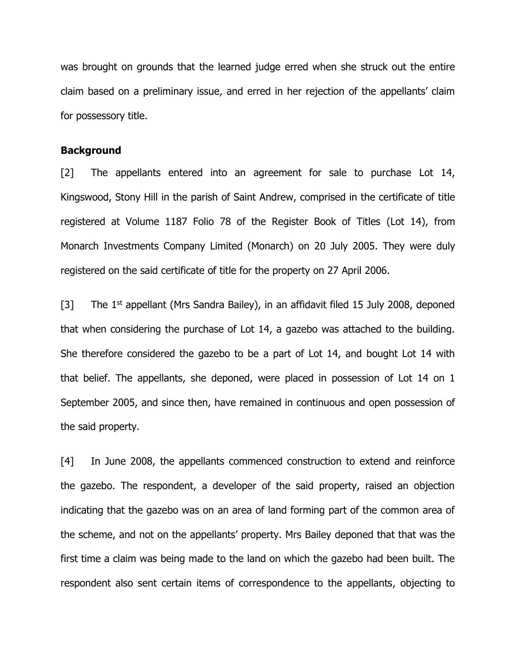was brought on grounds that the learned judge erred when she struck out the entire claim based on a preliminary issue, and erred in her rejection of the appellants' claim for possessory title.

### **Background**

[2] The appellants entered into an agreement for sale to purchase Lot 14, Kingswood, Stony Hill in the parish of Saint Andrew, comprised in the certificate of title registered at Volume 1187 Folio 78 of the Register Book of Titles (Lot 14), from Monarch Investments Company Limited (Monarch) on 20 July 2005. They were duly registered on the said certificate of title for the property on 27 April 2006.

[3] The 1<sup>st</sup> appellant (Mrs Sandra Bailey), in an affidavit filed 15 July 2008, deponed that when considering the purchase of Lot 14, a gazebo was attached to the building. She therefore considered the gazebo to be a part of Lot 14, and bought Lot 14 with that belief. The appellants, she deponed, were placed in possession of Lot 14 on 1 September 2005, and since then, have remained in continuous and open possession of the said property.

[4] In June 2008, the appellants commenced construction to extend and reinforce the gazebo. The respondent, a developer of the said property, raised an objection indicating that the gazebo was on an area of land forming part of the common area of the scheme, and not on the appellants' property. Mrs Bailey deponed that that was the first time a claim was being made to the land on which the gazebo had been built. The respondent also sent certain items of correspondence to the appellants, objecting to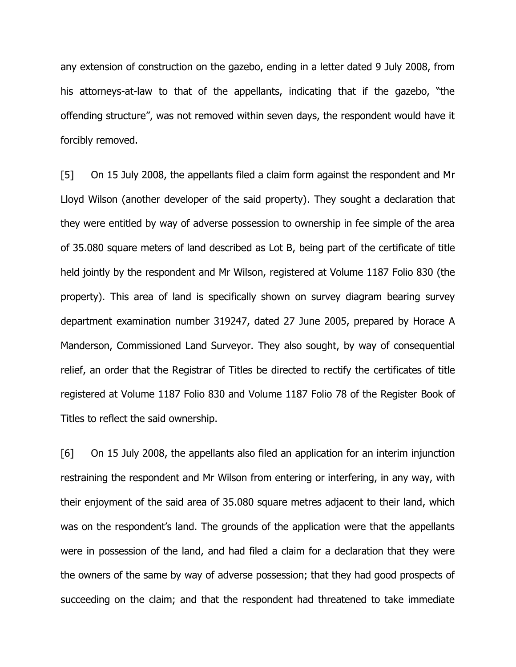any extension of construction on the gazebo, ending in a letter dated 9 July 2008, from his attorneys-at-law to that of the appellants, indicating that if the gazebo, "the offending structure", was not removed within seven days, the respondent would have it forcibly removed.

[5] On 15 July 2008, the appellants filed a claim form against the respondent and Mr Lloyd Wilson (another developer of the said property). They sought a declaration that they were entitled by way of adverse possession to ownership in fee simple of the area of 35.080 square meters of land described as Lot B, being part of the certificate of title held jointly by the respondent and Mr Wilson, registered at Volume 1187 Folio 830 (the property). This area of land is specifically shown on survey diagram bearing survey department examination number 319247, dated 27 June 2005, prepared by Horace A Manderson, Commissioned Land Surveyor. They also sought, by way of consequential relief, an order that the Registrar of Titles be directed to rectify the certificates of title registered at Volume 1187 Folio 830 and Volume 1187 Folio 78 of the Register Book of Titles to reflect the said ownership.

[6] On 15 July 2008, the appellants also filed an application for an interim injunction restraining the respondent and Mr Wilson from entering or interfering, in any way, with their enjoyment of the said area of 35.080 square metres adjacent to their land, which was on the respondent's land. The grounds of the application were that the appellants were in possession of the land, and had filed a claim for a declaration that they were the owners of the same by way of adverse possession; that they had good prospects of succeeding on the claim; and that the respondent had threatened to take immediate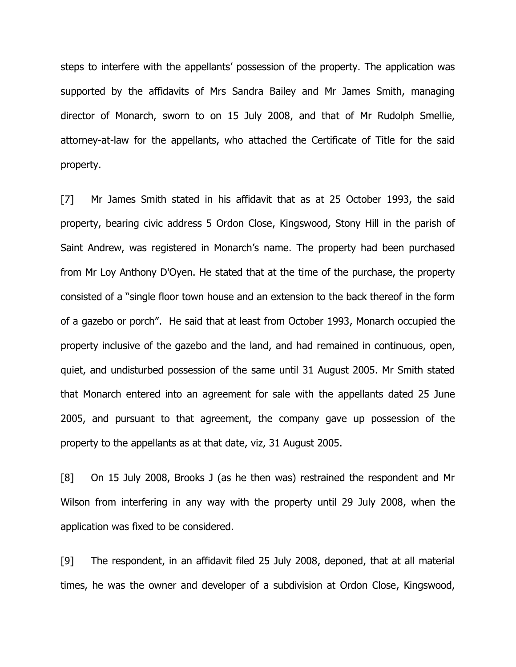steps to interfere with the appellants' possession of the property. The application was supported by the affidavits of Mrs Sandra Bailey and Mr James Smith, managing director of Monarch, sworn to on 15 July 2008, and that of Mr Rudolph Smellie, attorney-at-law for the appellants, who attached the Certificate of Title for the said property.

[7] Mr James Smith stated in his affidavit that as at 25 October 1993, the said property, bearing civic address 5 Ordon Close, Kingswood, Stony Hill in the parish of Saint Andrew, was registered in Monarch's name. The property had been purchased from Mr Loy Anthony D'Oyen. He stated that at the time of the purchase, the property consisted of a "single floor town house and an extension to the back thereof in the form of a gazebo or porch". He said that at least from October 1993, Monarch occupied the property inclusive of the gazebo and the land, and had remained in continuous, open, quiet, and undisturbed possession of the same until 31 August 2005. Mr Smith stated that Monarch entered into an agreement for sale with the appellants dated 25 June 2005, and pursuant to that agreement, the company gave up possession of the property to the appellants as at that date, viz, 31 August 2005.

[8] On 15 July 2008, Brooks J (as he then was) restrained the respondent and Mr Wilson from interfering in any way with the property until 29 July 2008, when the application was fixed to be considered.

[9] The respondent, in an affidavit filed 25 July 2008, deponed, that at all material times, he was the owner and developer of a subdivision at Ordon Close, Kingswood,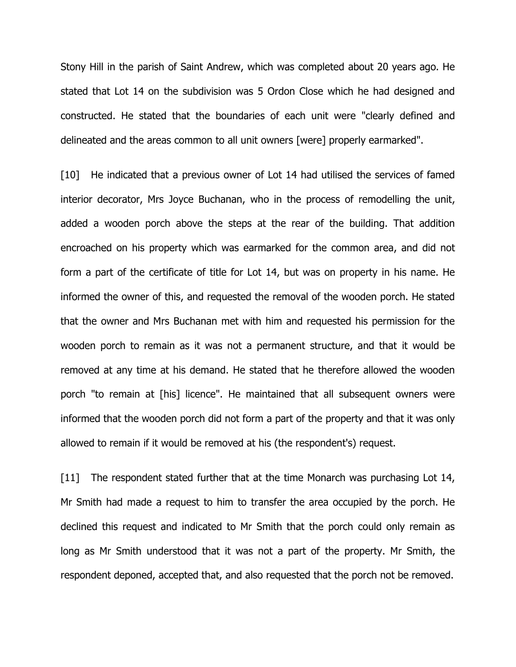Stony Hill in the parish of Saint Andrew, which was completed about 20 years ago. He stated that Lot 14 on the subdivision was 5 Ordon Close which he had designed and constructed. He stated that the boundaries of each unit were "clearly defined and delineated and the areas common to all unit owners [were] properly earmarked".

[10] He indicated that a previous owner of Lot 14 had utilised the services of famed interior decorator, Mrs Joyce Buchanan, who in the process of remodelling the unit, added a wooden porch above the steps at the rear of the building. That addition encroached on his property which was earmarked for the common area, and did not form a part of the certificate of title for Lot 14, but was on property in his name. He informed the owner of this, and requested the removal of the wooden porch. He stated that the owner and Mrs Buchanan met with him and requested his permission for the wooden porch to remain as it was not a permanent structure, and that it would be removed at any time at his demand. He stated that he therefore allowed the wooden porch "to remain at [his] licence". He maintained that all subsequent owners were informed that the wooden porch did not form a part of the property and that it was only allowed to remain if it would be removed at his (the respondent's) request.

[11] The respondent stated further that at the time Monarch was purchasing Lot 14, Mr Smith had made a request to him to transfer the area occupied by the porch. He declined this request and indicated to Mr Smith that the porch could only remain as long as Mr Smith understood that it was not a part of the property. Mr Smith, the respondent deponed, accepted that, and also requested that the porch not be removed.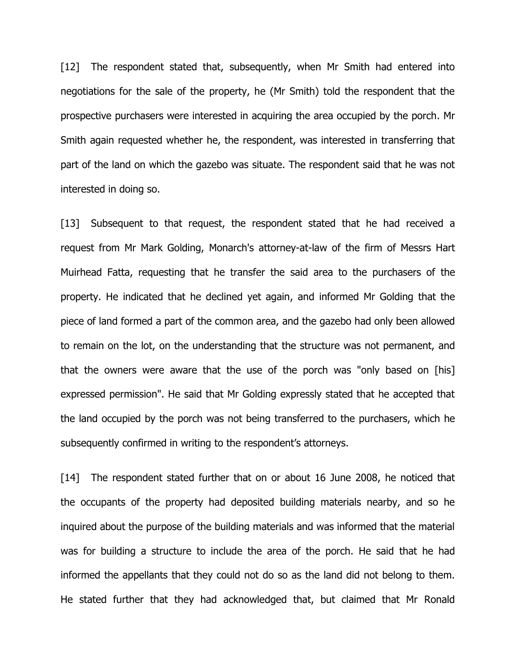[12] The respondent stated that, subsequently, when Mr Smith had entered into negotiations for the sale of the property, he (Mr Smith) told the respondent that the prospective purchasers were interested in acquiring the area occupied by the porch. Mr Smith again requested whether he, the respondent, was interested in transferring that part of the land on which the gazebo was situate. The respondent said that he was not interested in doing so.

[13] Subsequent to that request, the respondent stated that he had received a request from Mr Mark Golding, Monarch's attorney-at-law of the firm of Messrs Hart Muirhead Fatta, requesting that he transfer the said area to the purchasers of the property. He indicated that he declined yet again, and informed Mr Golding that the piece of land formed a part of the common area, and the gazebo had only been allowed to remain on the lot, on the understanding that the structure was not permanent, and that the owners were aware that the use of the porch was "only based on [his] expressed permission". He said that Mr Golding expressly stated that he accepted that the land occupied by the porch was not being transferred to the purchasers, which he subsequently confirmed in writing to the respondent's attorneys.

[14] The respondent stated further that on or about 16 June 2008, he noticed that the occupants of the property had deposited building materials nearby, and so he inquired about the purpose of the building materials and was informed that the material was for building a structure to include the area of the porch. He said that he had informed the appellants that they could not do so as the land did not belong to them. He stated further that they had acknowledged that, but claimed that Mr Ronald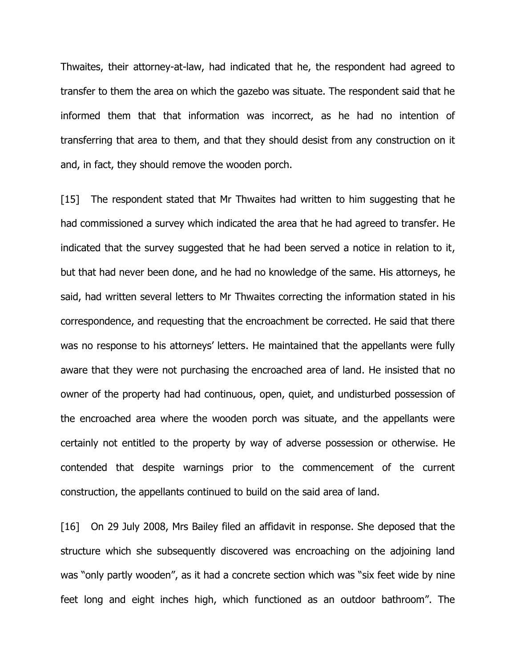Thwaites, their attorney-at-law, had indicated that he, the respondent had agreed to transfer to them the area on which the gazebo was situate. The respondent said that he informed them that that information was incorrect, as he had no intention of transferring that area to them, and that they should desist from any construction on it and, in fact, they should remove the wooden porch.

[15] The respondent stated that Mr Thwaites had written to him suggesting that he had commissioned a survey which indicated the area that he had agreed to transfer. He indicated that the survey suggested that he had been served a notice in relation to it, but that had never been done, and he had no knowledge of the same. His attorneys, he said, had written several letters to Mr Thwaites correcting the information stated in his correspondence, and requesting that the encroachment be corrected. He said that there was no response to his attorneys' letters. He maintained that the appellants were fully aware that they were not purchasing the encroached area of land. He insisted that no owner of the property had had continuous, open, quiet, and undisturbed possession of the encroached area where the wooden porch was situate, and the appellants were certainly not entitled to the property by way of adverse possession or otherwise. He contended that despite warnings prior to the commencement of the current construction, the appellants continued to build on the said area of land.

[16] On 29 July 2008, Mrs Bailey filed an affidavit in response. She deposed that the structure which she subsequently discovered was encroaching on the adjoining land was "only partly wooden", as it had a concrete section which was "six feet wide by nine feet long and eight inches high, which functioned as an outdoor bathroom". The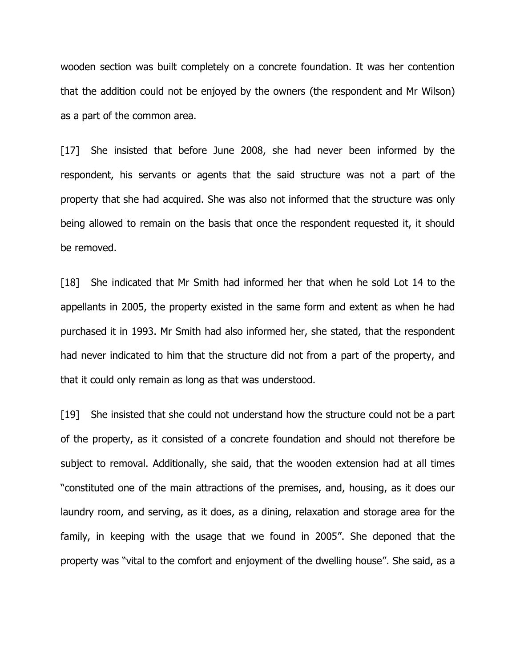wooden section was built completely on a concrete foundation. It was her contention that the addition could not be enjoyed by the owners (the respondent and Mr Wilson) as a part of the common area.

[17] She insisted that before June 2008, she had never been informed by the respondent, his servants or agents that the said structure was not a part of the property that she had acquired. She was also not informed that the structure was only being allowed to remain on the basis that once the respondent requested it, it should be removed.

[18] She indicated that Mr Smith had informed her that when he sold Lot 14 to the appellants in 2005, the property existed in the same form and extent as when he had purchased it in 1993. Mr Smith had also informed her, she stated, that the respondent had never indicated to him that the structure did not from a part of the property, and that it could only remain as long as that was understood.

[19] She insisted that she could not understand how the structure could not be a part of the property, as it consisted of a concrete foundation and should not therefore be subject to removal. Additionally, she said, that the wooden extension had at all times "constituted one of the main attractions of the premises, and, housing, as it does our laundry room, and serving, as it does, as a dining, relaxation and storage area for the family, in keeping with the usage that we found in 2005". She deponed that the property was "vital to the comfort and enjoyment of the dwelling house". She said, as a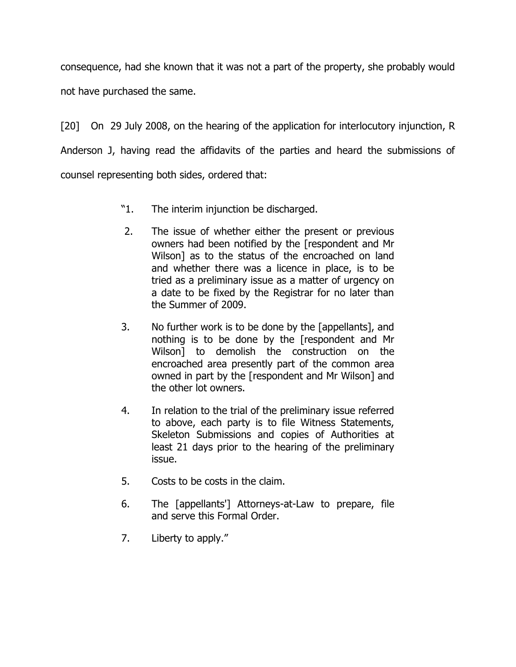consequence, had she known that it was not a part of the property, she probably would not have purchased the same.

[20] On 29 July 2008, on the hearing of the application for interlocutory injunction, R Anderson J, having read the affidavits of the parties and heard the submissions of counsel representing both sides, ordered that:

- "1. The interim injunction be discharged.
- 2. The issue of whether either the present or previous owners had been notified by the [respondent and Mr Wilson] as to the status of the encroached on land and whether there was a licence in place, is to be tried as a preliminary issue as a matter of urgency on a date to be fixed by the Registrar for no later than the Summer of 2009.
- 3. No further work is to be done by the [appellants], and nothing is to be done by the [respondent and Mr Wilson] to demolish the construction on the encroached area presently part of the common area owned in part by the [respondent and Mr Wilson] and the other lot owners.
- 4. In relation to the trial of the preliminary issue referred to above, each party is to file Witness Statements, Skeleton Submissions and copies of Authorities at least 21 days prior to the hearing of the preliminary issue.
- 5. Costs to be costs in the claim.
- 6. The [appellants'] Attorneys-at-Law to prepare, file and serve this Formal Order.
- 7. Liberty to apply."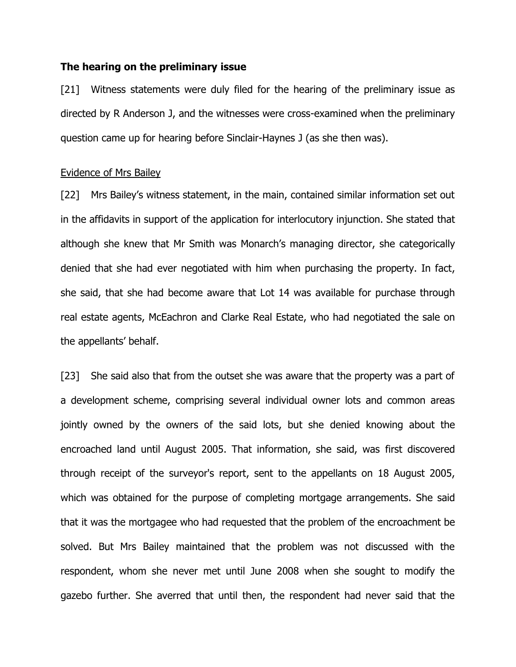## **The hearing on the preliminary issue**

[21] Witness statements were duly filed for the hearing of the preliminary issue as directed by R Anderson J, and the witnesses were cross-examined when the preliminary question came up for hearing before Sinclair-Haynes J (as she then was).

### Evidence of Mrs Bailey

[22] Mrs Bailey's witness statement, in the main, contained similar information set out in the affidavits in support of the application for interlocutory injunction. She stated that although she knew that Mr Smith was Monarch's managing director, she categorically denied that she had ever negotiated with him when purchasing the property. In fact, she said, that she had become aware that Lot 14 was available for purchase through real estate agents, McEachron and Clarke Real Estate, who had negotiated the sale on the appellants' behalf.

[23] She said also that from the outset she was aware that the property was a part of a development scheme, comprising several individual owner lots and common areas jointly owned by the owners of the said lots, but she denied knowing about the encroached land until August 2005. That information, she said, was first discovered through receipt of the surveyor's report, sent to the appellants on 18 August 2005, which was obtained for the purpose of completing mortgage arrangements. She said that it was the mortgagee who had requested that the problem of the encroachment be solved. But Mrs Bailey maintained that the problem was not discussed with the respondent, whom she never met until June 2008 when she sought to modify the gazebo further. She averred that until then, the respondent had never said that the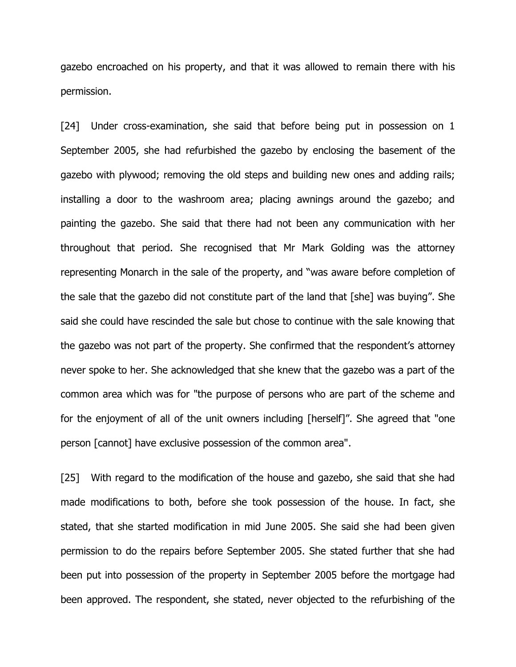gazebo encroached on his property, and that it was allowed to remain there with his permission.

[24] Under cross-examination, she said that before being put in possession on 1 September 2005, she had refurbished the gazebo by enclosing the basement of the gazebo with plywood; removing the old steps and building new ones and adding rails; installing a door to the washroom area; placing awnings around the gazebo; and painting the gazebo. She said that there had not been any communication with her throughout that period. She recognised that Mr Mark Golding was the attorney representing Monarch in the sale of the property, and "was aware before completion of the sale that the gazebo did not constitute part of the land that [she] was buying". She said she could have rescinded the sale but chose to continue with the sale knowing that the gazebo was not part of the property. She confirmed that the respondent's attorney never spoke to her. She acknowledged that she knew that the gazebo was a part of the common area which was for "the purpose of persons who are part of the scheme and for the enjoyment of all of the unit owners including [herself]". She agreed that "one person [cannot] have exclusive possession of the common area".

[25] With regard to the modification of the house and gazebo, she said that she had made modifications to both, before she took possession of the house. In fact, she stated, that she started modification in mid June 2005. She said she had been given permission to do the repairs before September 2005. She stated further that she had been put into possession of the property in September 2005 before the mortgage had been approved. The respondent, she stated, never objected to the refurbishing of the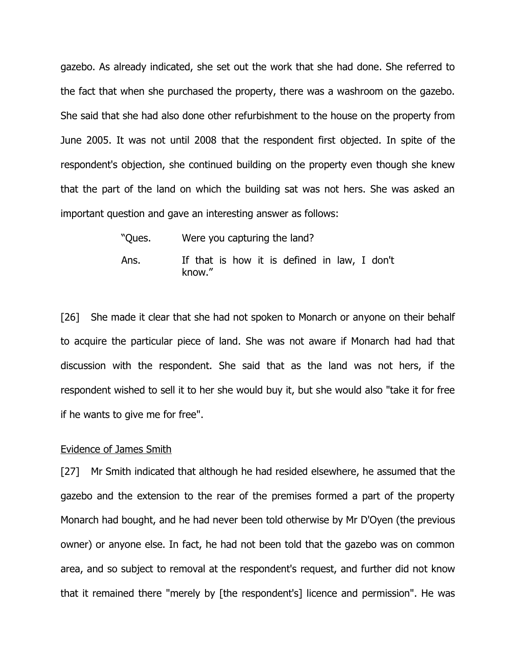gazebo. As already indicated, she set out the work that she had done. She referred to the fact that when she purchased the property, there was a washroom on the gazebo. She said that she had also done other refurbishment to the house on the property from June 2005. It was not until 2008 that the respondent first objected. In spite of the respondent's objection, she continued building on the property even though she knew that the part of the land on which the building sat was not hers. She was asked an important question and gave an interesting answer as follows:

| "Ques. | Were you capturing the land?                           |  |
|--------|--------------------------------------------------------|--|
| Ans.   | If that is how it is defined in law, I don't<br>know." |  |

[26] She made it clear that she had not spoken to Monarch or anyone on their behalf to acquire the particular piece of land. She was not aware if Monarch had had that discussion with the respondent. She said that as the land was not hers, if the respondent wished to sell it to her she would buy it, but she would also "take it for free if he wants to give me for free".

#### Evidence of James Smith

[27] Mr Smith indicated that although he had resided elsewhere, he assumed that the gazebo and the extension to the rear of the premises formed a part of the property Monarch had bought, and he had never been told otherwise by Mr D'Oyen (the previous owner) or anyone else. In fact, he had not been told that the gazebo was on common area, and so subject to removal at the respondent's request, and further did not know that it remained there "merely by [the respondent's] licence and permission". He was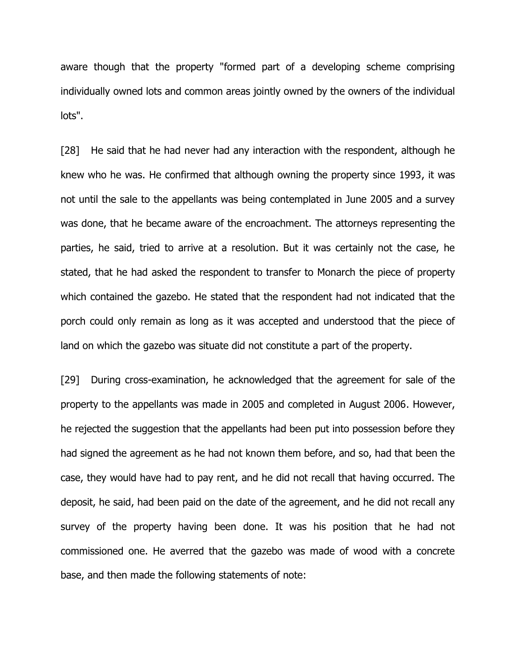aware though that the property "formed part of a developing scheme comprising individually owned lots and common areas jointly owned by the owners of the individual lots".

[28] He said that he had never had any interaction with the respondent, although he knew who he was. He confirmed that although owning the property since 1993, it was not until the sale to the appellants was being contemplated in June 2005 and a survey was done, that he became aware of the encroachment. The attorneys representing the parties, he said, tried to arrive at a resolution. But it was certainly not the case, he stated, that he had asked the respondent to transfer to Monarch the piece of property which contained the gazebo. He stated that the respondent had not indicated that the porch could only remain as long as it was accepted and understood that the piece of land on which the gazebo was situate did not constitute a part of the property.

[29] During cross-examination, he acknowledged that the agreement for sale of the property to the appellants was made in 2005 and completed in August 2006. However, he rejected the suggestion that the appellants had been put into possession before they had signed the agreement as he had not known them before, and so, had that been the case, they would have had to pay rent, and he did not recall that having occurred. The deposit, he said, had been paid on the date of the agreement, and he did not recall any survey of the property having been done. It was his position that he had not commissioned one. He averred that the gazebo was made of wood with a concrete base, and then made the following statements of note: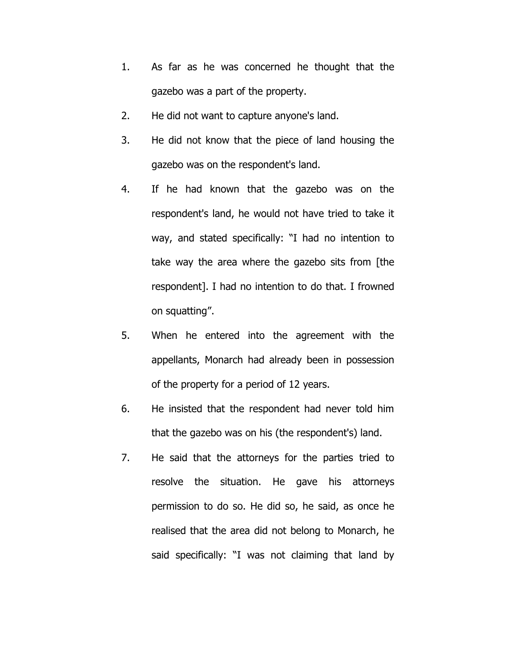- 1. As far as he was concerned he thought that the gazebo was a part of the property.
- 2. He did not want to capture anyone's land.
- 3. He did not know that the piece of land housing the gazebo was on the respondent's land.
- 4. If he had known that the gazebo was on the respondent's land, he would not have tried to take it way, and stated specifically: "I had no intention to take way the area where the gazebo sits from [the respondent]. I had no intention to do that. I frowned on squatting".
- 5. When he entered into the agreement with the appellants, Monarch had already been in possession of the property for a period of 12 years.
- 6. He insisted that the respondent had never told him that the gazebo was on his (the respondent's) land.
- 7. He said that the attorneys for the parties tried to resolve the situation. He gave his attorneys permission to do so. He did so, he said, as once he realised that the area did not belong to Monarch, he said specifically: "I was not claiming that land by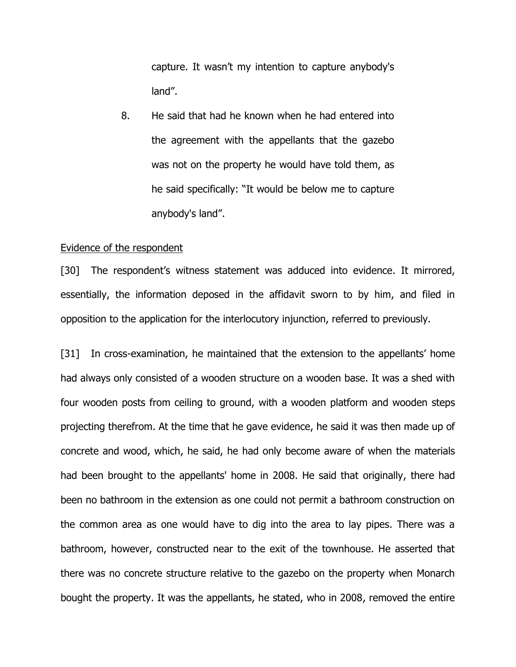capture. It wasn't my intention to capture anybody's land".

8. He said that had he known when he had entered into the agreement with the appellants that the gazebo was not on the property he would have told them, as he said specifically: "It would be below me to capture anybody's land".

### Evidence of the respondent

[30] The respondent's witness statement was adduced into evidence. It mirrored, essentially, the information deposed in the affidavit sworn to by him, and filed in opposition to the application for the interlocutory injunction, referred to previously.

[31] In cross-examination, he maintained that the extension to the appellants' home had always only consisted of a wooden structure on a wooden base. It was a shed with four wooden posts from ceiling to ground, with a wooden platform and wooden steps projecting therefrom. At the time that he gave evidence, he said it was then made up of concrete and wood, which, he said, he had only become aware of when the materials had been brought to the appellants' home in 2008. He said that originally, there had been no bathroom in the extension as one could not permit a bathroom construction on the common area as one would have to dig into the area to lay pipes. There was a bathroom, however, constructed near to the exit of the townhouse. He asserted that there was no concrete structure relative to the gazebo on the property when Monarch bought the property. It was the appellants, he stated, who in 2008, removed the entire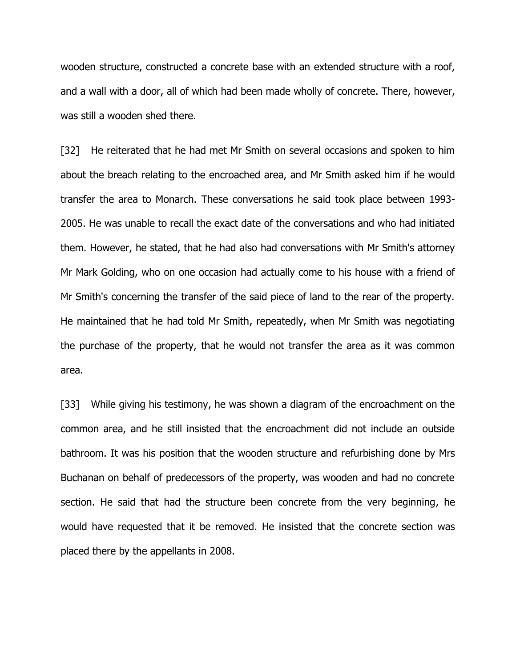wooden structure, constructed a concrete base with an extended structure with a roof, and a wall with a door, all of which had been made wholly of concrete. There, however, was still a wooden shed there.

[32] He reiterated that he had met Mr Smith on several occasions and spoken to him about the breach relating to the encroached area, and Mr Smith asked him if he would transfer the area to Monarch. These conversations he said took place between 1993- 2005. He was unable to recall the exact date of the conversations and who had initiated them. However, he stated, that he had also had conversations with Mr Smith's attorney Mr Mark Golding, who on one occasion had actually come to his house with a friend of Mr Smith's concerning the transfer of the said piece of land to the rear of the property. He maintained that he had told Mr Smith, repeatedly, when Mr Smith was negotiating the purchase of the property, that he would not transfer the area as it was common area.

[33] While giving his testimony, he was shown a diagram of the encroachment on the common area, and he still insisted that the encroachment did not include an outside bathroom. It was his position that the wooden structure and refurbishing done by Mrs Buchanan on behalf of predecessors of the property, was wooden and had no concrete section. He said that had the structure been concrete from the very beginning, he would have requested that it be removed. He insisted that the concrete section was placed there by the appellants in 2008.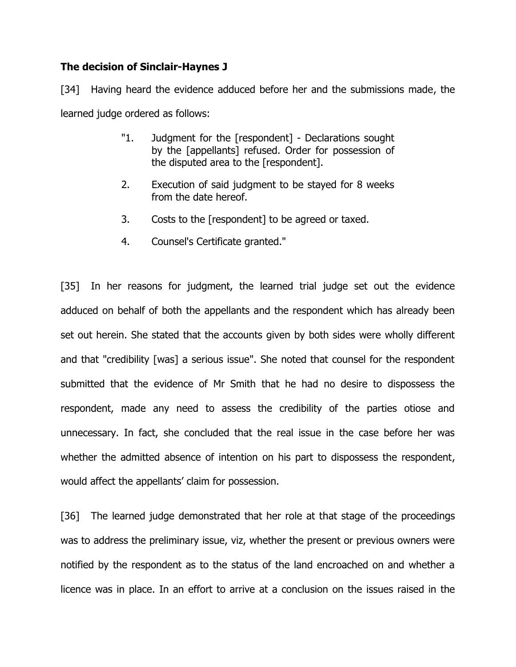# **The decision of Sinclair-Haynes J**

[34] Having heard the evidence adduced before her and the submissions made, the learned judge ordered as follows:

- "1. Judgment for the [respondent] Declarations sought by the [appellants] refused. Order for possession of the disputed area to the [respondent].
- 2. Execution of said judgment to be stayed for 8 weeks from the date hereof.
- 3. Costs to the [respondent] to be agreed or taxed.
- 4. Counsel's Certificate granted."

[35] In her reasons for judgment, the learned trial judge set out the evidence adduced on behalf of both the appellants and the respondent which has already been set out herein. She stated that the accounts given by both sides were wholly different and that "credibility [was] a serious issue". She noted that counsel for the respondent submitted that the evidence of Mr Smith that he had no desire to dispossess the respondent, made any need to assess the credibility of the parties otiose and unnecessary. In fact, she concluded that the real issue in the case before her was whether the admitted absence of intention on his part to dispossess the respondent, would affect the appellants' claim for possession.

[36] The learned judge demonstrated that her role at that stage of the proceedings was to address the preliminary issue, viz, whether the present or previous owners were notified by the respondent as to the status of the land encroached on and whether a licence was in place. In an effort to arrive at a conclusion on the issues raised in the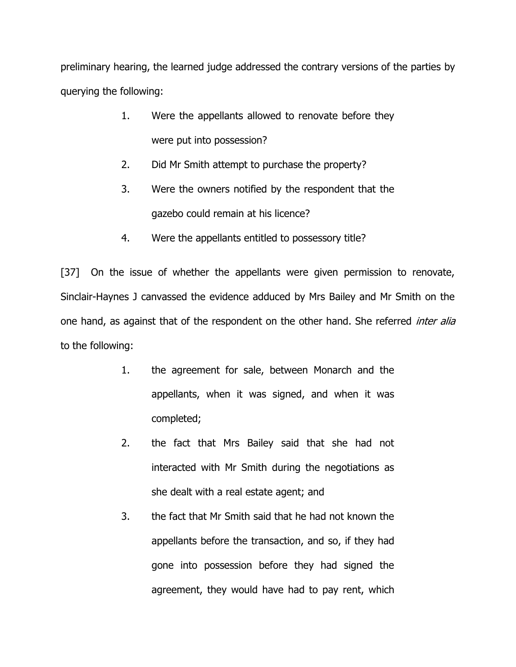preliminary hearing, the learned judge addressed the contrary versions of the parties by querying the following:

- 1. Were the appellants allowed to renovate before they were put into possession?
- 2. Did Mr Smith attempt to purchase the property?
- 3. Were the owners notified by the respondent that the gazebo could remain at his licence?
- 4. Were the appellants entitled to possessory title?

[37] On the issue of whether the appellants were given permission to renovate, Sinclair-Haynes J canvassed the evidence adduced by Mrs Bailey and Mr Smith on the one hand, as against that of the respondent on the other hand. She referred *inter alia* to the following:

- 1. the agreement for sale, between Monarch and the appellants, when it was signed, and when it was completed;
- 2. the fact that Mrs Bailey said that she had not interacted with Mr Smith during the negotiations as she dealt with a real estate agent; and
- 3. the fact that Mr Smith said that he had not known the appellants before the transaction, and so, if they had gone into possession before they had signed the agreement, they would have had to pay rent, which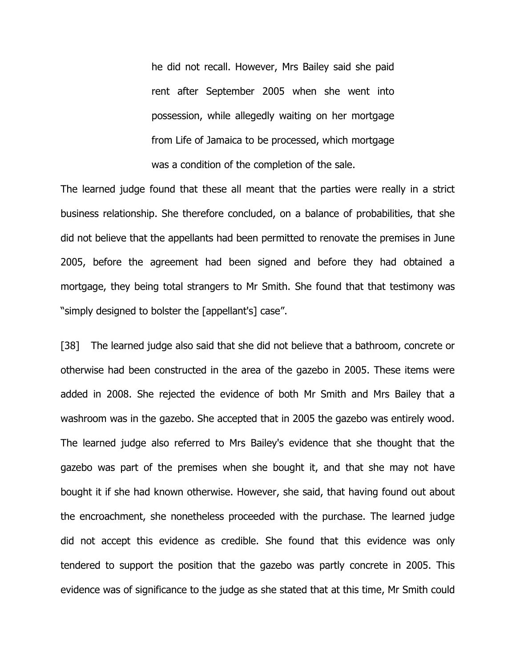he did not recall. However, Mrs Bailey said she paid rent after September 2005 when she went into possession, while allegedly waiting on her mortgage from Life of Jamaica to be processed, which mortgage was a condition of the completion of the sale.

The learned judge found that these all meant that the parties were really in a strict business relationship. She therefore concluded, on a balance of probabilities, that she did not believe that the appellants had been permitted to renovate the premises in June 2005, before the agreement had been signed and before they had obtained a mortgage, they being total strangers to Mr Smith. She found that that testimony was "simply designed to bolster the [appellant's] case".

[38] The learned judge also said that she did not believe that a bathroom, concrete or otherwise had been constructed in the area of the gazebo in 2005. These items were added in 2008. She rejected the evidence of both Mr Smith and Mrs Bailey that a washroom was in the gazebo. She accepted that in 2005 the gazebo was entirely wood. The learned judge also referred to Mrs Bailey's evidence that she thought that the gazebo was part of the premises when she bought it, and that she may not have bought it if she had known otherwise. However, she said, that having found out about the encroachment, she nonetheless proceeded with the purchase. The learned judge did not accept this evidence as credible. She found that this evidence was only tendered to support the position that the gazebo was partly concrete in 2005. This evidence was of significance to the judge as she stated that at this time, Mr Smith could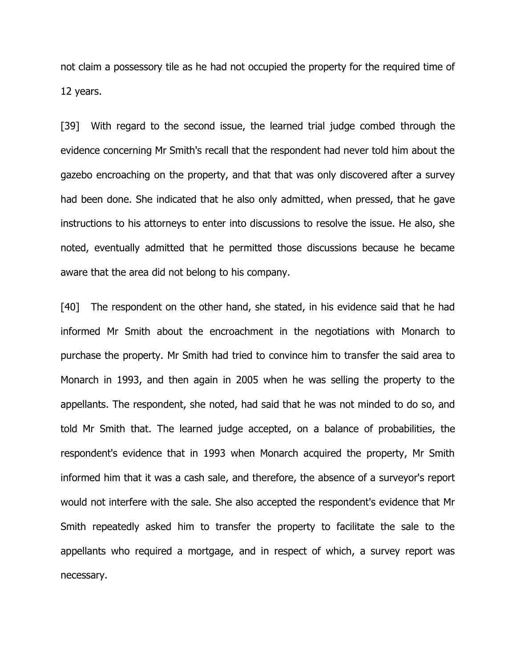not claim a possessory tile as he had not occupied the property for the required time of 12 years.

[39] With regard to the second issue, the learned trial judge combed through the evidence concerning Mr Smith's recall that the respondent had never told him about the gazebo encroaching on the property, and that that was only discovered after a survey had been done. She indicated that he also only admitted, when pressed, that he gave instructions to his attorneys to enter into discussions to resolve the issue. He also, she noted, eventually admitted that he permitted those discussions because he became aware that the area did not belong to his company.

[40] The respondent on the other hand, she stated, in his evidence said that he had informed Mr Smith about the encroachment in the negotiations with Monarch to purchase the property. Mr Smith had tried to convince him to transfer the said area to Monarch in 1993, and then again in 2005 when he was selling the property to the appellants. The respondent, she noted, had said that he was not minded to do so, and told Mr Smith that. The learned judge accepted, on a balance of probabilities, the respondent's evidence that in 1993 when Monarch acquired the property, Mr Smith informed him that it was a cash sale, and therefore, the absence of a surveyor's report would not interfere with the sale. She also accepted the respondent's evidence that Mr Smith repeatedly asked him to transfer the property to facilitate the sale to the appellants who required a mortgage, and in respect of which, a survey report was necessary.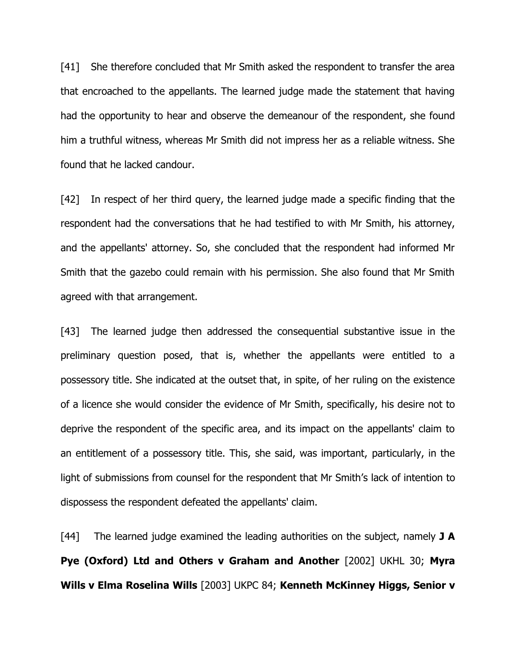[41] She therefore concluded that Mr Smith asked the respondent to transfer the area that encroached to the appellants. The learned judge made the statement that having had the opportunity to hear and observe the demeanour of the respondent, she found him a truthful witness, whereas Mr Smith did not impress her as a reliable witness. She found that he lacked candour.

[42] In respect of her third query, the learned judge made a specific finding that the respondent had the conversations that he had testified to with Mr Smith, his attorney, and the appellants' attorney. So, she concluded that the respondent had informed Mr Smith that the gazebo could remain with his permission. She also found that Mr Smith agreed with that arrangement.

[43] The learned judge then addressed the consequential substantive issue in the preliminary question posed, that is, whether the appellants were entitled to a possessory title. She indicated at the outset that, in spite, of her ruling on the existence of a licence she would consider the evidence of Mr Smith, specifically, his desire not to deprive the respondent of the specific area, and its impact on the appellants' claim to an entitlement of a possessory title. This, she said, was important, particularly, in the light of submissions from counsel for the respondent that Mr Smith's lack of intention to dispossess the respondent defeated the appellants' claim.

[44] The learned judge examined the leading authorities on the subject, namely **J A Pye (Oxford) Ltd and Others v Graham and Another** [2002] UKHL 30; **Myra Wills v Elma Roselina Wills** [2003] UKPC 84; **Kenneth McKinney Higgs, Senior v**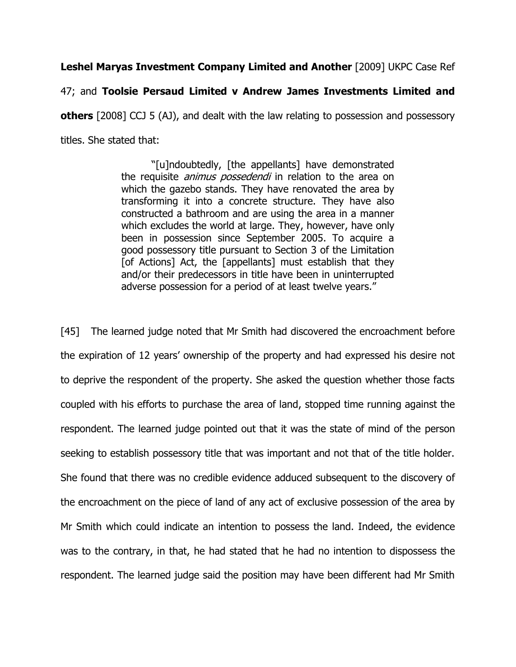**Leshel Maryas Investment Company Limited and Another** [2009] UKPC Case Ref

# 47; and **Toolsie Persaud Limited v Andrew James Investments Limited and**

**others** [2008] CCJ 5 (AJ), and dealt with the law relating to possession and possessory titles. She stated that:

> "[u]ndoubtedly, [the appellants] have demonstrated the requisite *animus possedendi* in relation to the area on which the gazebo stands. They have renovated the area by transforming it into a concrete structure. They have also constructed a bathroom and are using the area in a manner which excludes the world at large. They, however, have only been in possession since September 2005. To acquire a good possessory title pursuant to Section 3 of the Limitation [of Actions] Act, the [appellants] must establish that they and/or their predecessors in title have been in uninterrupted adverse possession for a period of at least twelve years."

[45] The learned judge noted that Mr Smith had discovered the encroachment before the expiration of 12 years' ownership of the property and had expressed his desire not to deprive the respondent of the property. She asked the question whether those facts coupled with his efforts to purchase the area of land, stopped time running against the respondent. The learned judge pointed out that it was the state of mind of the person seeking to establish possessory title that was important and not that of the title holder. She found that there was no credible evidence adduced subsequent to the discovery of the encroachment on the piece of land of any act of exclusive possession of the area by Mr Smith which could indicate an intention to possess the land. Indeed, the evidence was to the contrary, in that, he had stated that he had no intention to dispossess the respondent. The learned judge said the position may have been different had Mr Smith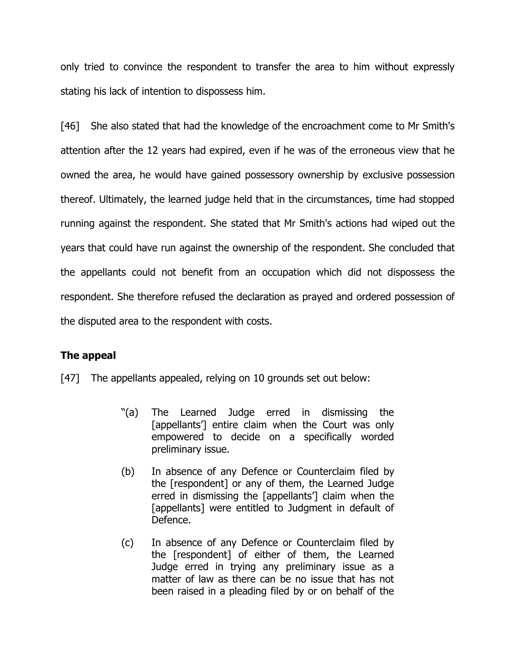only tried to convince the respondent to transfer the area to him without expressly stating his lack of intention to dispossess him.

[46] She also stated that had the knowledge of the encroachment come to Mr Smith's attention after the 12 years had expired, even if he was of the erroneous view that he owned the area, he would have gained possessory ownership by exclusive possession thereof. Ultimately, the learned judge held that in the circumstances, time had stopped running against the respondent. She stated that Mr Smith's actions had wiped out the years that could have run against the ownership of the respondent. She concluded that the appellants could not benefit from an occupation which did not dispossess the respondent. She therefore refused the declaration as prayed and ordered possession of the disputed area to the respondent with costs.

# **The appeal**

[47] The appellants appealed, relying on 10 grounds set out below:

- "(a) The Learned Judge erred in dismissing the [appellants'] entire claim when the Court was only empowered to decide on a specifically worded preliminary issue.
- (b) In absence of any Defence or Counterclaim filed by the [respondent] or any of them, the Learned Judge erred in dismissing the [appellants'] claim when the [appellants] were entitled to Judgment in default of Defence.
- (c) In absence of any Defence or Counterclaim filed by the [respondent] of either of them, the Learned Judge erred in trying any preliminary issue as a matter of law as there can be no issue that has not been raised in a pleading filed by or on behalf of the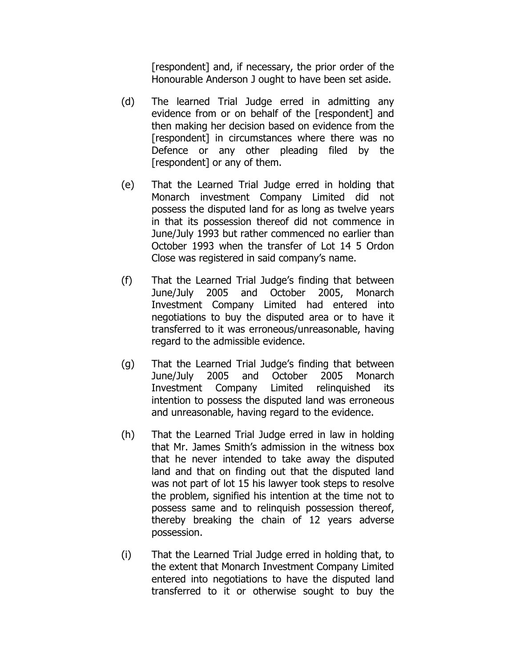[respondent] and, if necessary, the prior order of the Honourable Anderson J ought to have been set aside.

- (d) The learned Trial Judge erred in admitting any evidence from or on behalf of the [respondent] and then making her decision based on evidence from the [respondent] in circumstances where there was no Defence or any other pleading filed by the [respondent] or any of them.
- (e) That the Learned Trial Judge erred in holding that Monarch investment Company Limited did not possess the disputed land for as long as twelve years in that its possession thereof did not commence in June/July 1993 but rather commenced no earlier than October 1993 when the transfer of Lot 14 5 Ordon Close was registered in said company's name.
- (f) That the Learned Trial Judge's finding that between June/July 2005 and October 2005, Monarch Investment Company Limited had entered into negotiations to buy the disputed area or to have it transferred to it was erroneous/unreasonable, having regard to the admissible evidence.
- (g) That the Learned Trial Judge's finding that between June/July 2005 and October 2005 Monarch Investment Company Limited relinquished its intention to possess the disputed land was erroneous and unreasonable, having regard to the evidence.
- (h) That the Learned Trial Judge erred in law in holding that Mr. James Smith's admission in the witness box that he never intended to take away the disputed land and that on finding out that the disputed land was not part of lot 15 his lawyer took steps to resolve the problem, signified his intention at the time not to possess same and to relinquish possession thereof, thereby breaking the chain of 12 years adverse possession.
- (i) That the Learned Trial Judge erred in holding that, to the extent that Monarch Investment Company Limited entered into negotiations to have the disputed land transferred to it or otherwise sought to buy the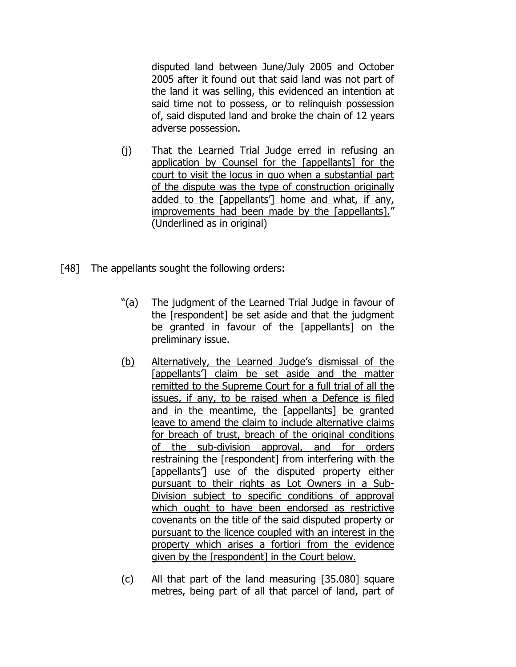disputed land between June/July 2005 and October 2005 after it found out that said land was not part of the land it was selling, this evidenced an intention at said time not to possess, or to relinquish possession of, said disputed land and broke the chain of 12 years adverse possession.

- (i) That the Learned Trial Judge erred in refusing an application by Counsel for the [appellants] for the court to visit the locus in quo when a substantial part of the dispute was the type of construction originally added to the [appellants'] home and what, if any, improvements had been made by the [appellants]." (Underlined as in original)
- [48] The appellants sought the following orders:
	- "(a) The judgment of the Learned Trial Judge in favour of the [respondent] be set aside and that the judgment be granted in favour of the [appellants] on the preliminary issue.
	- (b) Alternatively, the Learned Judge's dismissal of the [appellants'] claim be set aside and the matter remitted to the Supreme Court for a full trial of all the issues, if any, to be raised when a Defence is filed and in the meantime, the [appellants] be granted leave to amend the claim to include alternative claims for breach of trust, breach of the original conditions of the sub-division approval, and for orders restraining the [respondent] from interfering with the [appellants'] use of the disputed property either pursuant to their rights as Lot Owners in a Sub-Division subject to specific conditions of approval which ought to have been endorsed as restrictive covenants on the title of the said disputed property or pursuant to the licence coupled with an interest in the property which arises a fortiori from the evidence given by the [respondent] in the Court below.
	- (c) All that part of the land measuring [35.080] square metres, being part of all that parcel of land, part of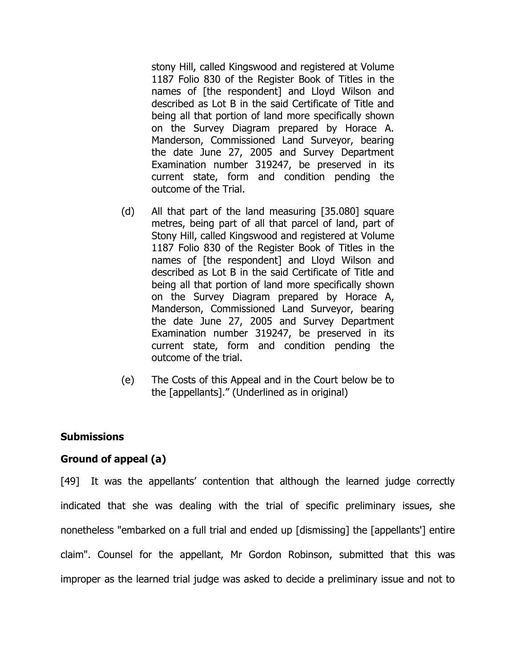stony Hill, called Kingswood and registered at Volume 1187 Folio 830 of the Register Book of Titles in the names of [the respondent] and Lloyd Wilson and described as Lot B in the said Certificate of Title and being all that portion of land more specifically shown on the Survey Diagram prepared by Horace A. Manderson, Commissioned Land Surveyor, bearing the date June 27, 2005 and Survey Department Examination number 319247, be preserved in its current state, form and condition pending the outcome of the Trial.

- (d) All that part of the land measuring [35.080] square metres, being part of all that parcel of land, part of Stony Hill, called Kingswood and registered at Volume 1187 Folio 830 of the Register Book of Titles in the names of [the respondent] and Lloyd Wilson and described as Lot B in the said Certificate of Title and being all that portion of land more specifically shown on the Survey Diagram prepared by Horace A, Manderson, Commissioned Land Surveyor, bearing the date June 27, 2005 and Survey Department Examination number 319247, be preserved in its current state, form and condition pending the outcome of the trial.
- (e) The Costs of this Appeal and in the Court below be to the [appellants]." (Underlined as in original)

## **Submissions**

# **Ground of appeal (a)**

[49] It was the appellants' contention that although the learned judge correctly indicated that she was dealing with the trial of specific preliminary issues, she nonetheless "embarked on a full trial and ended up [dismissing] the [appellants'] entire claim". Counsel for the appellant, Mr Gordon Robinson, submitted that this was improper as the learned trial judge was asked to decide a preliminary issue and not to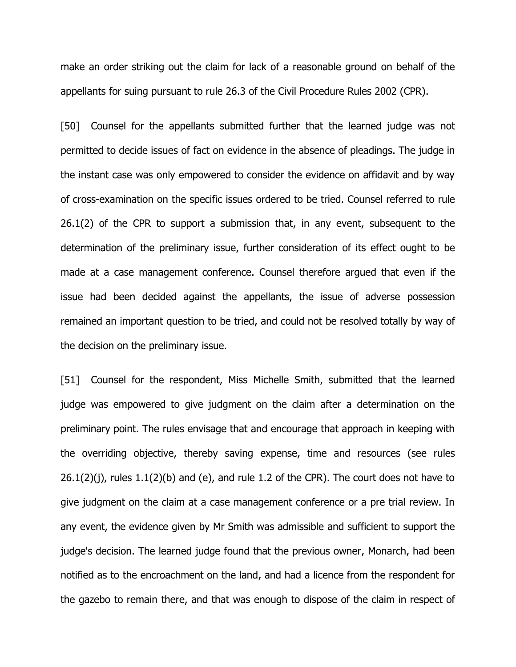make an order striking out the claim for lack of a reasonable ground on behalf of the appellants for suing pursuant to rule 26.3 of the Civil Procedure Rules 2002 (CPR).

[50] Counsel for the appellants submitted further that the learned judge was not permitted to decide issues of fact on evidence in the absence of pleadings. The judge in the instant case was only empowered to consider the evidence on affidavit and by way of cross-examination on the specific issues ordered to be tried. Counsel referred to rule 26.1(2) of the CPR to support a submission that, in any event, subsequent to the determination of the preliminary issue, further consideration of its effect ought to be made at a case management conference. Counsel therefore argued that even if the issue had been decided against the appellants, the issue of adverse possession remained an important question to be tried, and could not be resolved totally by way of the decision on the preliminary issue.

[51] Counsel for the respondent, Miss Michelle Smith, submitted that the learned judge was empowered to give judgment on the claim after a determination on the preliminary point. The rules envisage that and encourage that approach in keeping with the overriding objective, thereby saving expense, time and resources (see rules  $26.1(2)(i)$ , rules  $1.1(2)(b)$  and (e), and rule 1.2 of the CPR). The court does not have to give judgment on the claim at a case management conference or a pre trial review. In any event, the evidence given by Mr Smith was admissible and sufficient to support the judge's decision. The learned judge found that the previous owner, Monarch, had been notified as to the encroachment on the land, and had a licence from the respondent for the gazebo to remain there, and that was enough to dispose of the claim in respect of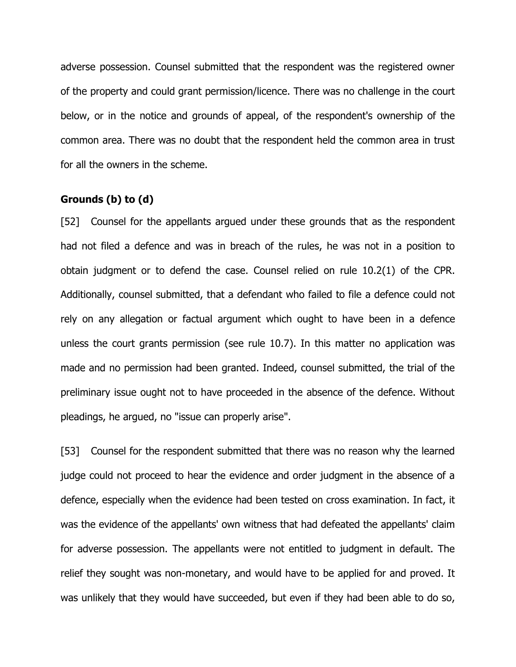adverse possession. Counsel submitted that the respondent was the registered owner of the property and could grant permission/licence. There was no challenge in the court below, or in the notice and grounds of appeal, of the respondent's ownership of the common area. There was no doubt that the respondent held the common area in trust for all the owners in the scheme.

## **Grounds (b) to (d)**

[52] Counsel for the appellants argued under these grounds that as the respondent had not filed a defence and was in breach of the rules, he was not in a position to obtain judgment or to defend the case. Counsel relied on rule 10.2(1) of the CPR. Additionally, counsel submitted, that a defendant who failed to file a defence could not rely on any allegation or factual argument which ought to have been in a defence unless the court grants permission (see rule 10.7). In this matter no application was made and no permission had been granted. Indeed, counsel submitted, the trial of the preliminary issue ought not to have proceeded in the absence of the defence. Without pleadings, he argued, no "issue can properly arise".

[53] Counsel for the respondent submitted that there was no reason why the learned judge could not proceed to hear the evidence and order judgment in the absence of a defence, especially when the evidence had been tested on cross examination. In fact, it was the evidence of the appellants' own witness that had defeated the appellants' claim for adverse possession. The appellants were not entitled to judgment in default. The relief they sought was non-monetary, and would have to be applied for and proved. It was unlikely that they would have succeeded, but even if they had been able to do so,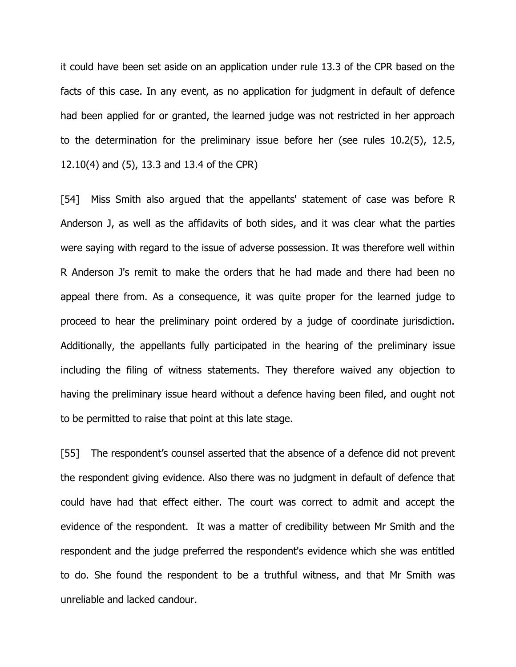it could have been set aside on an application under rule 13.3 of the CPR based on the facts of this case. In any event, as no application for judgment in default of defence had been applied for or granted, the learned judge was not restricted in her approach to the determination for the preliminary issue before her (see rules 10.2(5), 12.5, 12.10(4) and (5), 13.3 and 13.4 of the CPR)

[54] Miss Smith also argued that the appellants' statement of case was before R Anderson J, as well as the affidavits of both sides, and it was clear what the parties were saying with regard to the issue of adverse possession. It was therefore well within R Anderson J's remit to make the orders that he had made and there had been no appeal there from. As a consequence, it was quite proper for the learned judge to proceed to hear the preliminary point ordered by a judge of coordinate jurisdiction. Additionally, the appellants fully participated in the hearing of the preliminary issue including the filing of witness statements. They therefore waived any objection to having the preliminary issue heard without a defence having been filed, and ought not to be permitted to raise that point at this late stage.

[55] The respondent's counsel asserted that the absence of a defence did not prevent the respondent giving evidence. Also there was no judgment in default of defence that could have had that effect either. The court was correct to admit and accept the evidence of the respondent. It was a matter of credibility between Mr Smith and the respondent and the judge preferred the respondent's evidence which she was entitled to do. She found the respondent to be a truthful witness, and that Mr Smith was unreliable and lacked candour.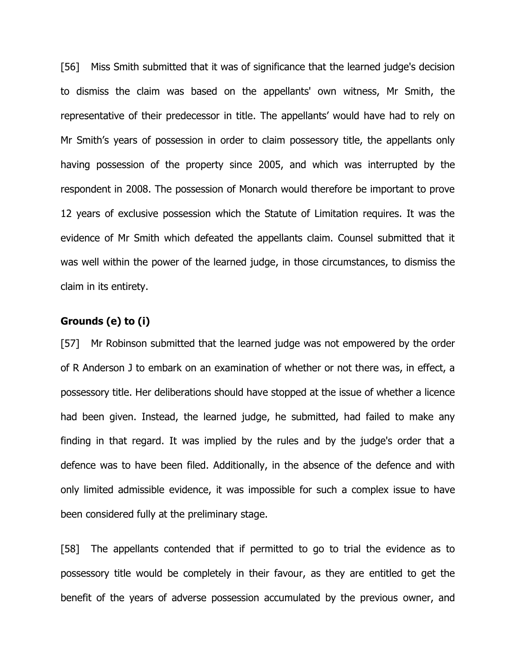[56] Miss Smith submitted that it was of significance that the learned judge's decision to dismiss the claim was based on the appellants' own witness, Mr Smith, the representative of their predecessor in title. The appellants' would have had to rely on Mr Smith's years of possession in order to claim possessory title, the appellants only having possession of the property since 2005, and which was interrupted by the respondent in 2008. The possession of Monarch would therefore be important to prove 12 years of exclusive possession which the Statute of Limitation requires. It was the evidence of Mr Smith which defeated the appellants claim. Counsel submitted that it was well within the power of the learned judge, in those circumstances, to dismiss the claim in its entirety.

## **Grounds (e) to (i)**

[57] Mr Robinson submitted that the learned judge was not empowered by the order of R Anderson J to embark on an examination of whether or not there was, in effect, a possessory title. Her deliberations should have stopped at the issue of whether a licence had been given. Instead, the learned judge, he submitted, had failed to make any finding in that regard. It was implied by the rules and by the judge's order that a defence was to have been filed. Additionally, in the absence of the defence and with only limited admissible evidence, it was impossible for such a complex issue to have been considered fully at the preliminary stage.

[58] The appellants contended that if permitted to go to trial the evidence as to possessory title would be completely in their favour, as they are entitled to get the benefit of the years of adverse possession accumulated by the previous owner, and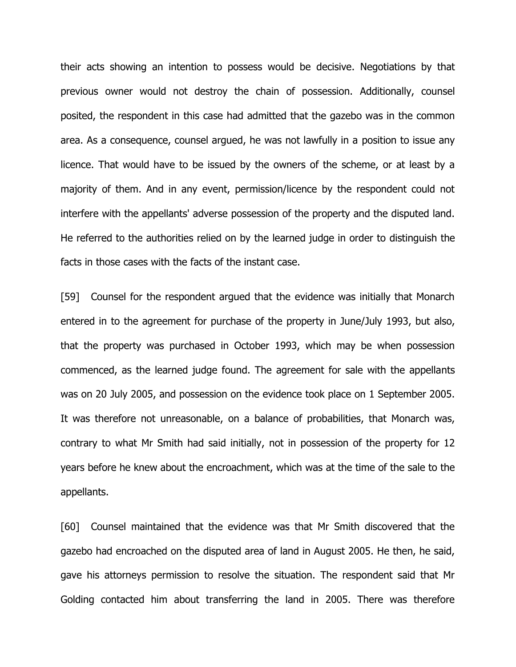their acts showing an intention to possess would be decisive. Negotiations by that previous owner would not destroy the chain of possession. Additionally, counsel posited, the respondent in this case had admitted that the gazebo was in the common area. As a consequence, counsel argued, he was not lawfully in a position to issue any licence. That would have to be issued by the owners of the scheme, or at least by a majority of them. And in any event, permission/licence by the respondent could not interfere with the appellants' adverse possession of the property and the disputed land. He referred to the authorities relied on by the learned judge in order to distinguish the facts in those cases with the facts of the instant case.

[59] Counsel for the respondent argued that the evidence was initially that Monarch entered in to the agreement for purchase of the property in June/July 1993, but also, that the property was purchased in October 1993, which may be when possession commenced, as the learned judge found. The agreement for sale with the appellants was on 20 July 2005, and possession on the evidence took place on 1 September 2005. It was therefore not unreasonable, on a balance of probabilities, that Monarch was, contrary to what Mr Smith had said initially, not in possession of the property for 12 years before he knew about the encroachment, which was at the time of the sale to the appellants.

[60] Counsel maintained that the evidence was that Mr Smith discovered that the gazebo had encroached on the disputed area of land in August 2005. He then, he said, gave his attorneys permission to resolve the situation. The respondent said that Mr Golding contacted him about transferring the land in 2005. There was therefore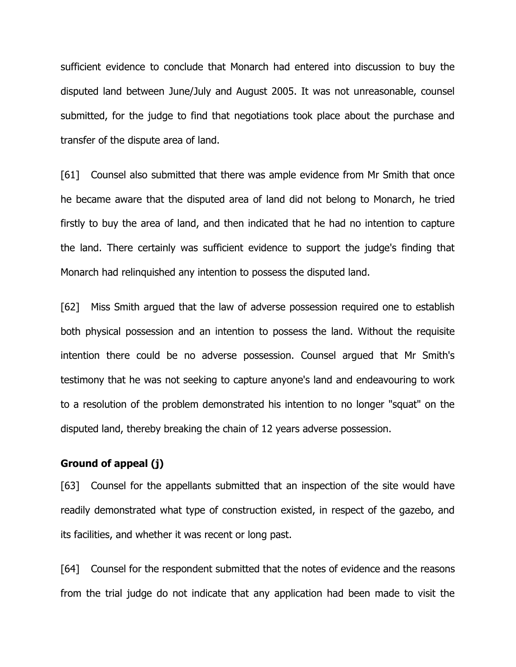sufficient evidence to conclude that Monarch had entered into discussion to buy the disputed land between June/July and August 2005. It was not unreasonable, counsel submitted, for the judge to find that negotiations took place about the purchase and transfer of the dispute area of land.

[61] Counsel also submitted that there was ample evidence from Mr Smith that once he became aware that the disputed area of land did not belong to Monarch, he tried firstly to buy the area of land, and then indicated that he had no intention to capture the land. There certainly was sufficient evidence to support the judge's finding that Monarch had relinquished any intention to possess the disputed land.

[62] Miss Smith argued that the law of adverse possession required one to establish both physical possession and an intention to possess the land. Without the requisite intention there could be no adverse possession. Counsel argued that Mr Smith's testimony that he was not seeking to capture anyone's land and endeavouring to work to a resolution of the problem demonstrated his intention to no longer "squat" on the disputed land, thereby breaking the chain of 12 years adverse possession.

## **Ground of appeal (j)**

[63] Counsel for the appellants submitted that an inspection of the site would have readily demonstrated what type of construction existed, in respect of the gazebo, and its facilities, and whether it was recent or long past.

[64] Counsel for the respondent submitted that the notes of evidence and the reasons from the trial judge do not indicate that any application had been made to visit the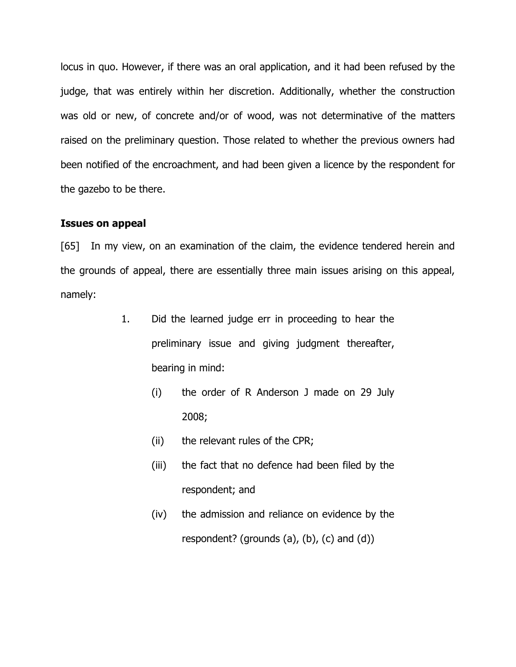locus in quo. However, if there was an oral application, and it had been refused by the judge, that was entirely within her discretion. Additionally, whether the construction was old or new, of concrete and/or of wood, was not determinative of the matters raised on the preliminary question. Those related to whether the previous owners had been notified of the encroachment, and had been given a licence by the respondent for the gazebo to be there.

## **Issues on appeal**

[65] In my view, on an examination of the claim, the evidence tendered herein and the grounds of appeal, there are essentially three main issues arising on this appeal, namely:

- 1. Did the learned judge err in proceeding to hear the preliminary issue and giving judgment thereafter, bearing in mind:
	- (i) the order of R Anderson J made on 29 July 2008;
	- (ii) the relevant rules of the CPR;
	- (iii) the fact that no defence had been filed by the respondent; and
	- (iv) the admission and reliance on evidence by the respondent? (grounds  $(a)$ ,  $(b)$ ,  $(c)$  and  $(d)$ )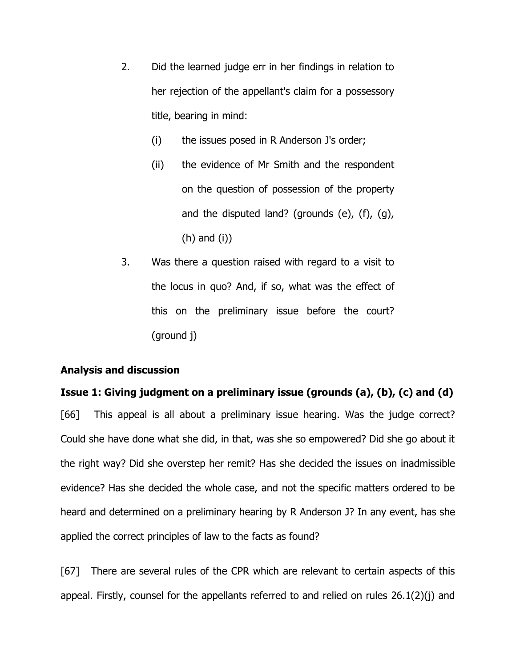- 2. Did the learned judge err in her findings in relation to her rejection of the appellant's claim for a possessory title, bearing in mind:
	- (i) the issues posed in R Anderson J's order;
	- (ii) the evidence of Mr Smith and the respondent on the question of possession of the property and the disputed land? (grounds (e), (f), (g), (h) and (i))
- 3. Was there a question raised with regard to a visit to the locus in quo? And, if so, what was the effect of this on the preliminary issue before the court? (ground j)

## **Analysis and discussion**

# **Issue 1: Giving judgment on a preliminary issue (grounds (a), (b), (c) and (d)**

[66] This appeal is all about a preliminary issue hearing. Was the judge correct? Could she have done what she did, in that, was she so empowered? Did she go about it the right way? Did she overstep her remit? Has she decided the issues on inadmissible evidence? Has she decided the whole case, and not the specific matters ordered to be heard and determined on a preliminary hearing by R Anderson J? In any event, has she applied the correct principles of law to the facts as found?

[67] There are several rules of the CPR which are relevant to certain aspects of this appeal. Firstly, counsel for the appellants referred to and relied on rules 26.1(2)(j) and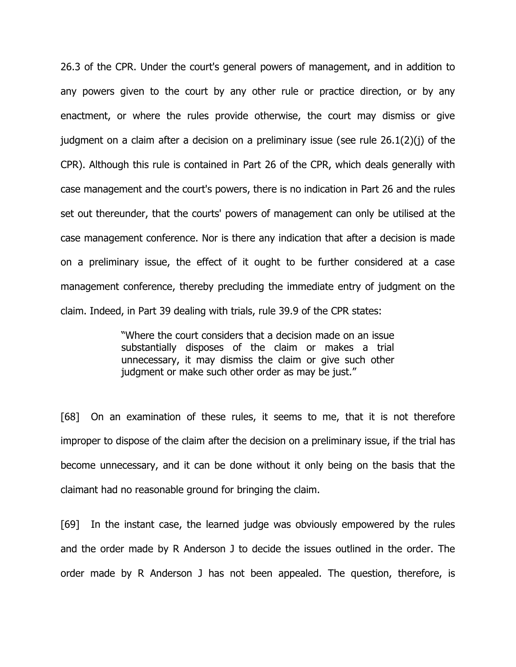26.3 of the CPR. Under the court's general powers of management, and in addition to any powers given to the court by any other rule or practice direction, or by any enactment, or where the rules provide otherwise, the court may dismiss or give judgment on a claim after a decision on a preliminary issue (see rule 26.1(2)(j) of the CPR). Although this rule is contained in Part 26 of the CPR, which deals generally with case management and the court's powers, there is no indication in Part 26 and the rules set out thereunder, that the courts' powers of management can only be utilised at the case management conference. Nor is there any indication that after a decision is made on a preliminary issue, the effect of it ought to be further considered at a case management conference, thereby precluding the immediate entry of judgment on the claim. Indeed, in Part 39 dealing with trials, rule 39.9 of the CPR states:

> "Where the court considers that a decision made on an issue substantially disposes of the claim or makes a trial unnecessary, it may dismiss the claim or give such other judgment or make such other order as may be just."

[68] On an examination of these rules, it seems to me, that it is not therefore improper to dispose of the claim after the decision on a preliminary issue, if the trial has become unnecessary, and it can be done without it only being on the basis that the claimant had no reasonable ground for bringing the claim.

[69] In the instant case, the learned judge was obviously empowered by the rules and the order made by R Anderson J to decide the issues outlined in the order. The order made by R Anderson J has not been appealed. The question, therefore, is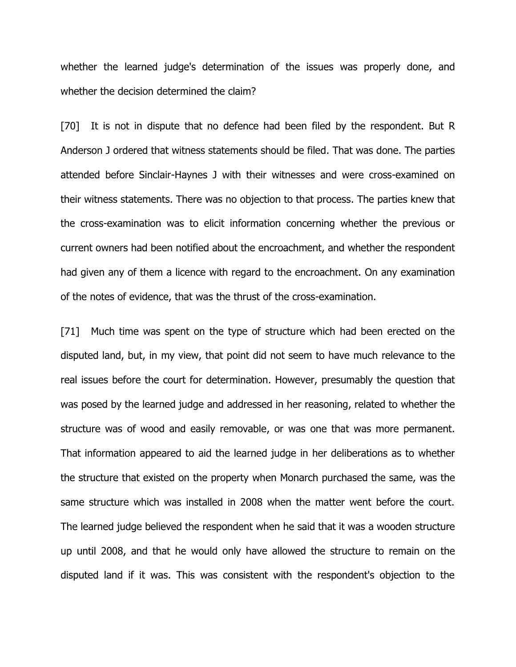whether the learned judge's determination of the issues was properly done, and whether the decision determined the claim?

[70] It is not in dispute that no defence had been filed by the respondent. But R Anderson J ordered that witness statements should be filed. That was done. The parties attended before Sinclair-Haynes J with their witnesses and were cross-examined on their witness statements. There was no objection to that process. The parties knew that the cross-examination was to elicit information concerning whether the previous or current owners had been notified about the encroachment, and whether the respondent had given any of them a licence with regard to the encroachment. On any examination of the notes of evidence, that was the thrust of the cross-examination.

[71] Much time was spent on the type of structure which had been erected on the disputed land, but, in my view, that point did not seem to have much relevance to the real issues before the court for determination. However, presumably the question that was posed by the learned judge and addressed in her reasoning, related to whether the structure was of wood and easily removable, or was one that was more permanent. That information appeared to aid the learned judge in her deliberations as to whether the structure that existed on the property when Monarch purchased the same, was the same structure which was installed in 2008 when the matter went before the court. The learned judge believed the respondent when he said that it was a wooden structure up until 2008, and that he would only have allowed the structure to remain on the disputed land if it was. This was consistent with the respondent's objection to the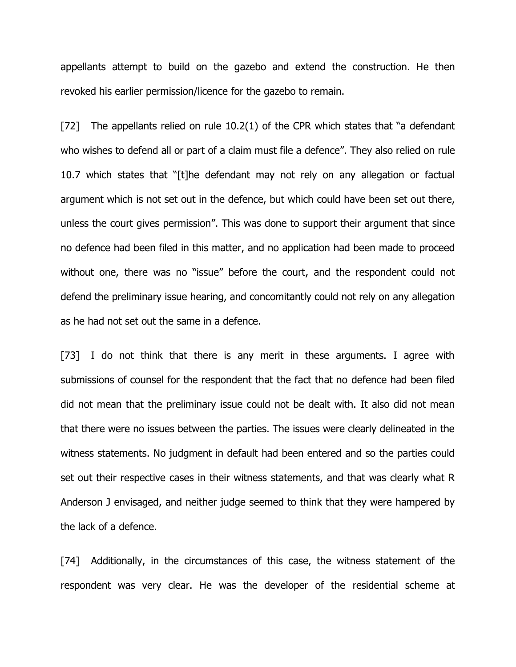appellants attempt to build on the gazebo and extend the construction. He then revoked his earlier permission/licence for the gazebo to remain.

[72] The appellants relied on rule 10.2(1) of the CPR which states that "a defendant who wishes to defend all or part of a claim must file a defence". They also relied on rule 10.7 which states that "[t]he defendant may not rely on any allegation or factual argument which is not set out in the defence, but which could have been set out there, unless the court gives permission". This was done to support their argument that since no defence had been filed in this matter, and no application had been made to proceed without one, there was no "issue" before the court, and the respondent could not defend the preliminary issue hearing, and concomitantly could not rely on any allegation as he had not set out the same in a defence.

[73] I do not think that there is any merit in these arguments. I agree with submissions of counsel for the respondent that the fact that no defence had been filed did not mean that the preliminary issue could not be dealt with. It also did not mean that there were no issues between the parties. The issues were clearly delineated in the witness statements. No judgment in default had been entered and so the parties could set out their respective cases in their witness statements, and that was clearly what R Anderson J envisaged, and neither judge seemed to think that they were hampered by the lack of a defence.

[74] Additionally, in the circumstances of this case, the witness statement of the respondent was very clear. He was the developer of the residential scheme at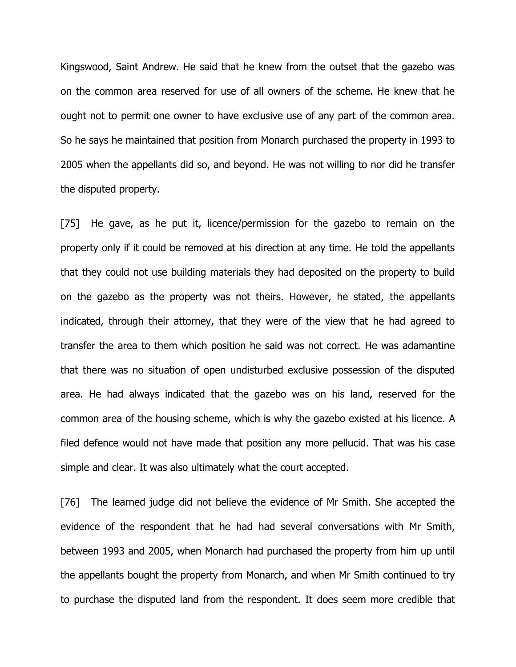Kingswood, Saint Andrew. He said that he knew from the outset that the gazebo was on the common area reserved for use of all owners of the scheme. He knew that he ought not to permit one owner to have exclusive use of any part of the common area. So he says he maintained that position from Monarch purchased the property in 1993 to 2005 when the appellants did so, and beyond. He was not willing to nor did he transfer the disputed property.

[75] He gave, as he put it, licence/permission for the gazebo to remain on the property only if it could be removed at his direction at any time. He told the appellants that they could not use building materials they had deposited on the property to build on the gazebo as the property was not theirs. However, he stated, the appellants indicated, through their attorney, that they were of the view that he had agreed to transfer the area to them which position he said was not correct. He was adamantine that there was no situation of open undisturbed exclusive possession of the disputed area. He had always indicated that the gazebo was on his land, reserved for the common area of the housing scheme, which is why the gazebo existed at his licence. A filed defence would not have made that position any more pellucid. That was his case simple and clear. It was also ultimately what the court accepted.

[76] The learned judge did not believe the evidence of Mr Smith. She accepted the evidence of the respondent that he had had several conversations with Mr Smith, between 1993 and 2005, when Monarch had purchased the property from him up until the appellants bought the property from Monarch, and when Mr Smith continued to try to purchase the disputed land from the respondent. It does seem more credible that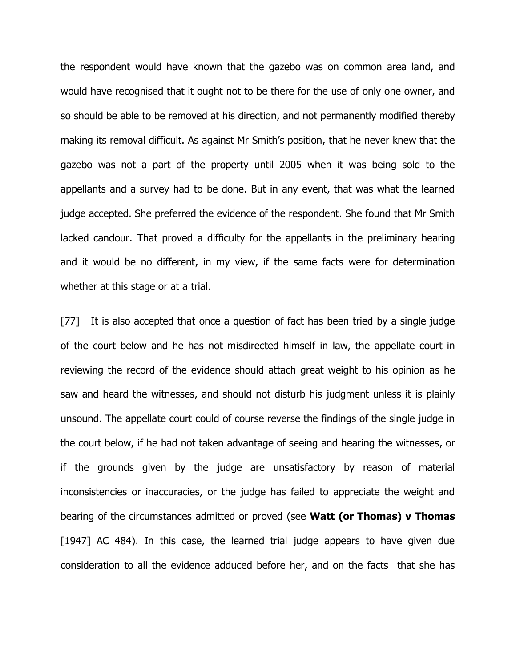the respondent would have known that the gazebo was on common area land, and would have recognised that it ought not to be there for the use of only one owner, and so should be able to be removed at his direction, and not permanently modified thereby making its removal difficult. As against Mr Smith's position, that he never knew that the gazebo was not a part of the property until 2005 when it was being sold to the appellants and a survey had to be done. But in any event, that was what the learned judge accepted. She preferred the evidence of the respondent. She found that Mr Smith lacked candour. That proved a difficulty for the appellants in the preliminary hearing and it would be no different, in my view, if the same facts were for determination whether at this stage or at a trial.

[77] It is also accepted that once a question of fact has been tried by a single judge of the court below and he has not misdirected himself in law, the appellate court in reviewing the record of the evidence should attach great weight to his opinion as he saw and heard the witnesses, and should not disturb his judgment unless it is plainly unsound. The appellate court could of course reverse the findings of the single judge in the court below, if he had not taken advantage of seeing and hearing the witnesses, or if the grounds given by the judge are unsatisfactory by reason of material inconsistencies or inaccuracies, or the judge has failed to appreciate the weight and bearing of the circumstances admitted or proved (see **Watt (or Thomas) v Thomas** [1947] AC 484). In this case, the learned trial judge appears to have given due consideration to all the evidence adduced before her, and on the facts that she has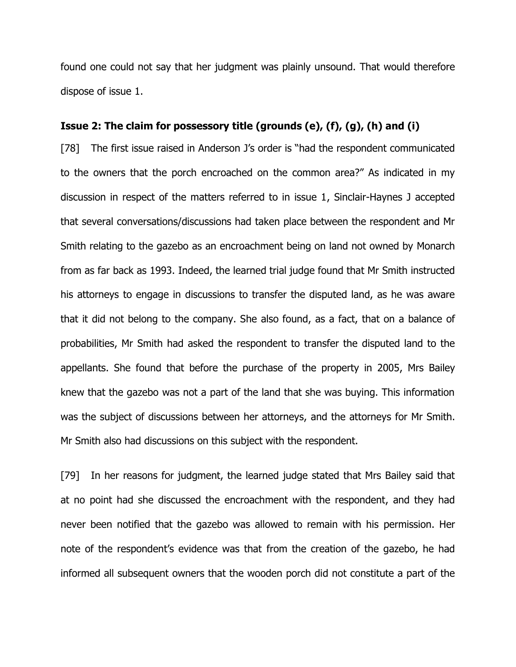found one could not say that her judgment was plainly unsound. That would therefore dispose of issue 1.

# **Issue 2: The claim for possessory title (grounds (e), (f), (g), (h) and (i)**

[78] The first issue raised in Anderson J's order is "had the respondent communicated to the owners that the porch encroached on the common area?" As indicated in my discussion in respect of the matters referred to in issue 1, Sinclair-Haynes J accepted that several conversations/discussions had taken place between the respondent and Mr Smith relating to the gazebo as an encroachment being on land not owned by Monarch from as far back as 1993. Indeed, the learned trial judge found that Mr Smith instructed his attorneys to engage in discussions to transfer the disputed land, as he was aware that it did not belong to the company. She also found, as a fact, that on a balance of probabilities, Mr Smith had asked the respondent to transfer the disputed land to the appellants. She found that before the purchase of the property in 2005, Mrs Bailey knew that the gazebo was not a part of the land that she was buying. This information was the subject of discussions between her attorneys, and the attorneys for Mr Smith. Mr Smith also had discussions on this subject with the respondent.

[79] In her reasons for judgment, the learned judge stated that Mrs Bailey said that at no point had she discussed the encroachment with the respondent, and they had never been notified that the gazebo was allowed to remain with his permission. Her note of the respondent's evidence was that from the creation of the gazebo, he had informed all subsequent owners that the wooden porch did not constitute a part of the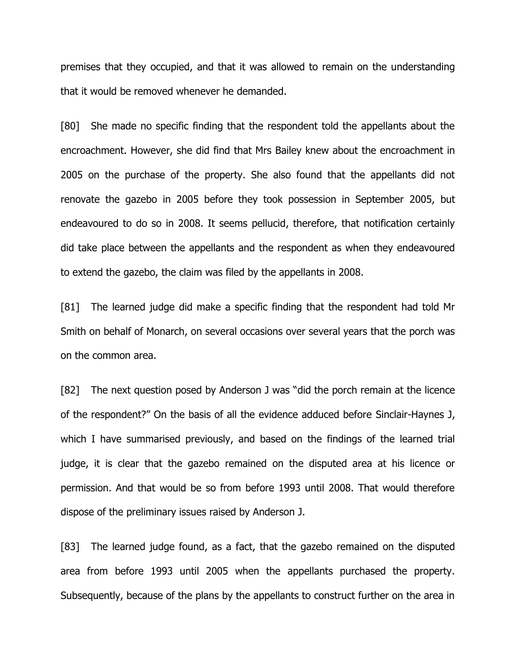premises that they occupied, and that it was allowed to remain on the understanding that it would be removed whenever he demanded.

[80] She made no specific finding that the respondent told the appellants about the encroachment. However, she did find that Mrs Bailey knew about the encroachment in 2005 on the purchase of the property. She also found that the appellants did not renovate the gazebo in 2005 before they took possession in September 2005, but endeavoured to do so in 2008. It seems pellucid, therefore, that notification certainly did take place between the appellants and the respondent as when they endeavoured to extend the gazebo, the claim was filed by the appellants in 2008.

[81] The learned judge did make a specific finding that the respondent had told Mr Smith on behalf of Monarch, on several occasions over several years that the porch was on the common area.

[82] The next question posed by Anderson J was "did the porch remain at the licence of the respondent?" On the basis of all the evidence adduced before Sinclair-Haynes J, which I have summarised previously, and based on the findings of the learned trial judge, it is clear that the gazebo remained on the disputed area at his licence or permission. And that would be so from before 1993 until 2008. That would therefore dispose of the preliminary issues raised by Anderson J.

[83] The learned judge found, as a fact, that the gazebo remained on the disputed area from before 1993 until 2005 when the appellants purchased the property. Subsequently, because of the plans by the appellants to construct further on the area in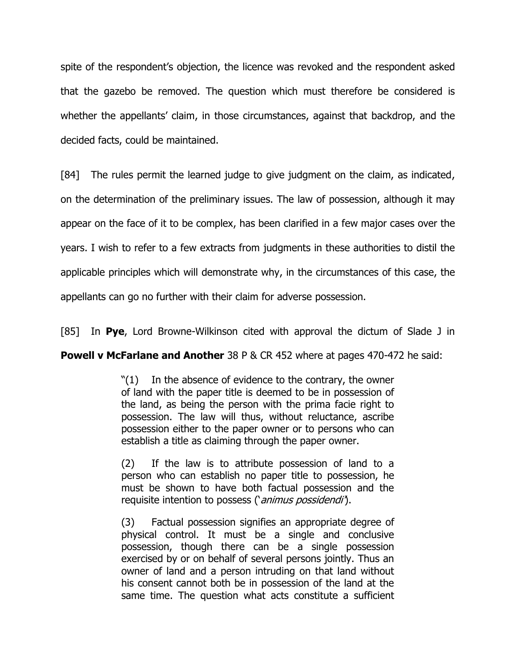spite of the respondent's objection, the licence was revoked and the respondent asked that the gazebo be removed. The question which must therefore be considered is whether the appellants' claim, in those circumstances, against that backdrop, and the decided facts, could be maintained.

[84] The rules permit the learned judge to give judgment on the claim, as indicated, on the determination of the preliminary issues. The law of possession, although it may appear on the face of it to be complex, has been clarified in a few major cases over the years. I wish to refer to a few extracts from judgments in these authorities to distil the applicable principles which will demonstrate why, in the circumstances of this case, the appellants can go no further with their claim for adverse possession.

[85] In **Pye**, Lord Browne-Wilkinson cited with approval the dictum of Slade J in

# **Powell v McFarlane and Another** 38 P & CR 452 where at pages 470-472 he said:

 $"(1)$  In the absence of evidence to the contrary, the owner of land with the paper title is deemed to be in possession of the land, as being the person with the prima facie right to possession. The law will thus, without reluctance, ascribe possession either to the paper owner or to persons who can establish a title as claiming through the paper owner.

(2) If the law is to attribute possession of land to a person who can establish no paper title to possession, he must be shown to have both factual possession and the requisite intention to possess ('animus possidendi').

(3) Factual possession signifies an appropriate degree of physical control. It must be a single and conclusive possession, though there can be a single possession exercised by or on behalf of several persons jointly. Thus an owner of land and a person intruding on that land without his consent cannot both be in possession of the land at the same time. The question what acts constitute a sufficient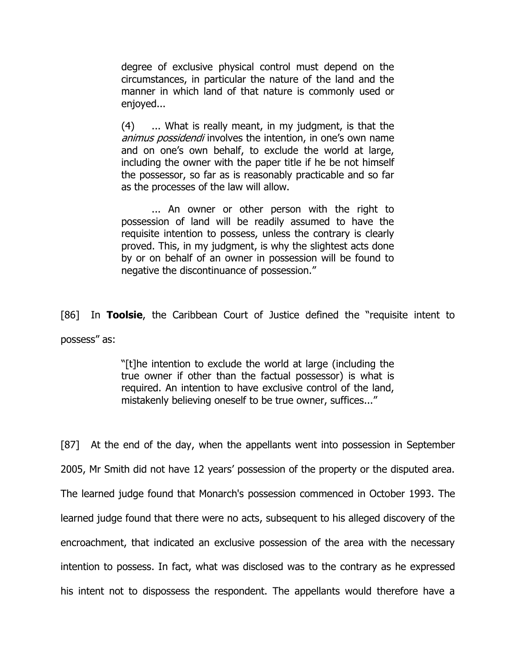degree of exclusive physical control must depend on the circumstances, in particular the nature of the land and the manner in which land of that nature is commonly used or enjoyed...

(4) ... What is really meant, in my judgment, is that the animus possidendi involves the intention, in one's own name and on one's own behalf, to exclude the world at large, including the owner with the paper title if he be not himself the possessor, so far as is reasonably practicable and so far as the processes of the law will allow.

... An owner or other person with the right to possession of land will be readily assumed to have the requisite intention to possess, unless the contrary is clearly proved. This, in my judgment, is why the slightest acts done by or on behalf of an owner in possession will be found to negative the discontinuance of possession."

[86] In **Toolsie**, the Caribbean Court of Justice defined the "requisite intent to possess" as:

> "[t]he intention to exclude the world at large (including the true owner if other than the factual possessor) is what is required. An intention to have exclusive control of the land, mistakenly believing oneself to be true owner, suffices..."

[87] At the end of the day, when the appellants went into possession in September 2005, Mr Smith did not have 12 years' possession of the property or the disputed area. The learned judge found that Monarch's possession commenced in October 1993. The learned judge found that there were no acts, subsequent to his alleged discovery of the encroachment, that indicated an exclusive possession of the area with the necessary intention to possess. In fact, what was disclosed was to the contrary as he expressed his intent not to dispossess the respondent. The appellants would therefore have a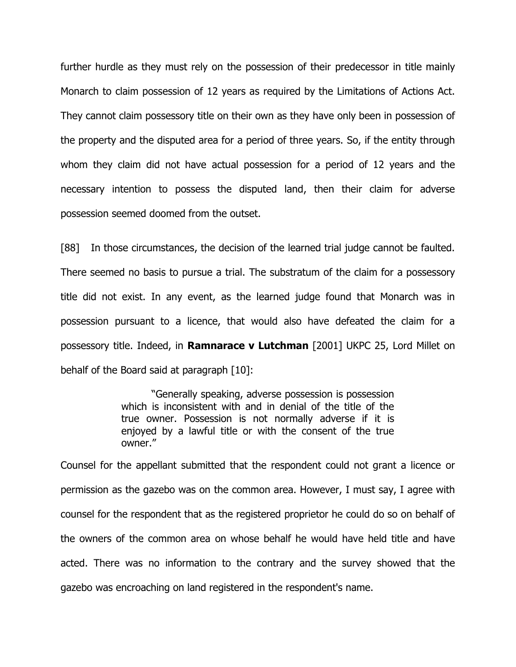further hurdle as they must rely on the possession of their predecessor in title mainly Monarch to claim possession of 12 years as required by the Limitations of Actions Act. They cannot claim possessory title on their own as they have only been in possession of the property and the disputed area for a period of three years. So, if the entity through whom they claim did not have actual possession for a period of 12 years and the necessary intention to possess the disputed land, then their claim for adverse possession seemed doomed from the outset.

[88] In those circumstances, the decision of the learned trial judge cannot be faulted. There seemed no basis to pursue a trial. The substratum of the claim for a possessory title did not exist. In any event, as the learned judge found that Monarch was in possession pursuant to a licence, that would also have defeated the claim for a possessory title. Indeed, in **Ramnarace v Lutchman** [2001] UKPC 25, Lord Millet on behalf of the Board said at paragraph [10]:

> "Generally speaking, adverse possession is possession which is inconsistent with and in denial of the title of the true owner. Possession is not normally adverse if it is enjoyed by a lawful title or with the consent of the true owner."

Counsel for the appellant submitted that the respondent could not grant a licence or permission as the gazebo was on the common area. However, I must say, I agree with counsel for the respondent that as the registered proprietor he could do so on behalf of the owners of the common area on whose behalf he would have held title and have acted. There was no information to the contrary and the survey showed that the gazebo was encroaching on land registered in the respondent's name.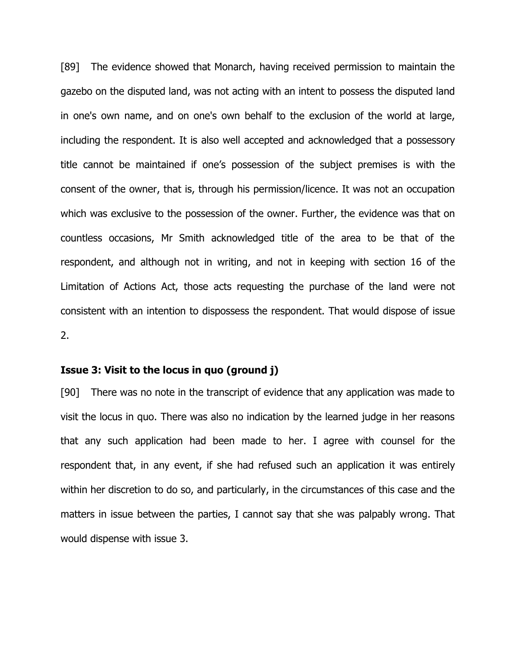[89] The evidence showed that Monarch, having received permission to maintain the gazebo on the disputed land, was not acting with an intent to possess the disputed land in one's own name, and on one's own behalf to the exclusion of the world at large, including the respondent. It is also well accepted and acknowledged that a possessory title cannot be maintained if one's possession of the subject premises is with the consent of the owner, that is, through his permission/licence. It was not an occupation which was exclusive to the possession of the owner. Further, the evidence was that on countless occasions, Mr Smith acknowledged title of the area to be that of the respondent, and although not in writing, and not in keeping with section 16 of the Limitation of Actions Act, those acts requesting the purchase of the land were not consistent with an intention to dispossess the respondent. That would dispose of issue 2.

## **Issue 3: Visit to the locus in quo (ground j)**

[90] There was no note in the transcript of evidence that any application was made to visit the locus in quo. There was also no indication by the learned judge in her reasons that any such application had been made to her. I agree with counsel for the respondent that, in any event, if she had refused such an application it was entirely within her discretion to do so, and particularly, in the circumstances of this case and the matters in issue between the parties, I cannot say that she was palpably wrong. That would dispense with issue 3.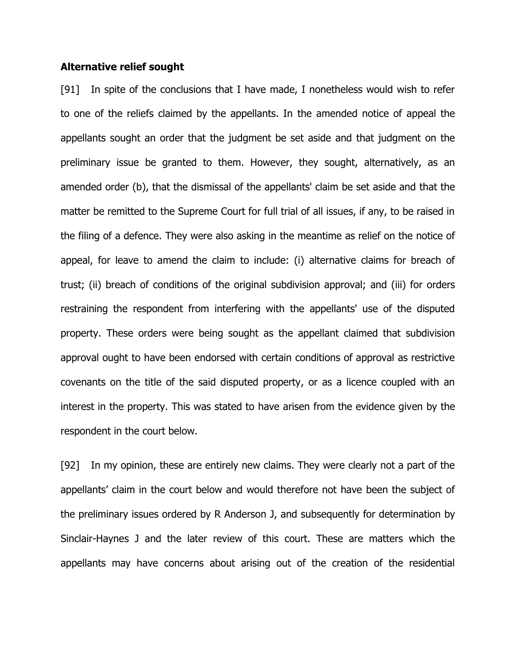### **Alternative relief sought**

[91] In spite of the conclusions that I have made, I nonetheless would wish to refer to one of the reliefs claimed by the appellants. In the amended notice of appeal the appellants sought an order that the judgment be set aside and that judgment on the preliminary issue be granted to them. However, they sought, alternatively, as an amended order (b), that the dismissal of the appellants' claim be set aside and that the matter be remitted to the Supreme Court for full trial of all issues, if any, to be raised in the filing of a defence. They were also asking in the meantime as relief on the notice of appeal, for leave to amend the claim to include: (i) alternative claims for breach of trust; (ii) breach of conditions of the original subdivision approval; and (iii) for orders restraining the respondent from interfering with the appellants' use of the disputed property. These orders were being sought as the appellant claimed that subdivision approval ought to have been endorsed with certain conditions of approval as restrictive covenants on the title of the said disputed property, or as a licence coupled with an interest in the property. This was stated to have arisen from the evidence given by the respondent in the court below.

[92] In my opinion, these are entirely new claims. They were clearly not a part of the appellants' claim in the court below and would therefore not have been the subject of the preliminary issues ordered by R Anderson J, and subsequently for determination by Sinclair-Haynes J and the later review of this court. These are matters which the appellants may have concerns about arising out of the creation of the residential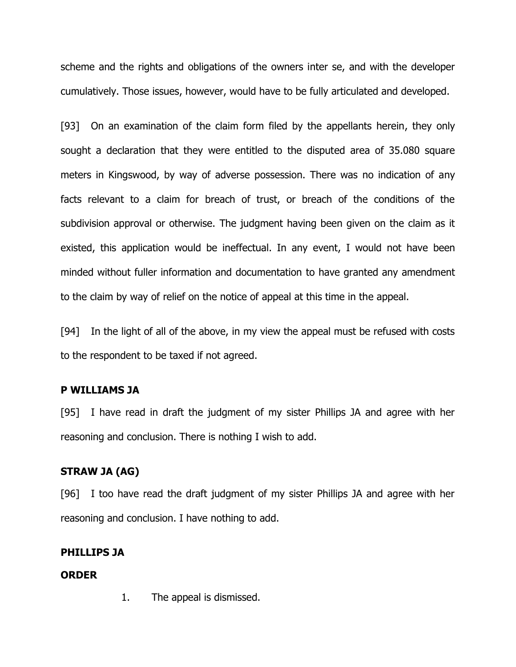scheme and the rights and obligations of the owners inter se, and with the developer cumulatively. Those issues, however, would have to be fully articulated and developed.

[93] On an examination of the claim form filed by the appellants herein, they only sought a declaration that they were entitled to the disputed area of 35.080 square meters in Kingswood, by way of adverse possession. There was no indication of any facts relevant to a claim for breach of trust, or breach of the conditions of the subdivision approval or otherwise. The judgment having been given on the claim as it existed, this application would be ineffectual. In any event, I would not have been minded without fuller information and documentation to have granted any amendment to the claim by way of relief on the notice of appeal at this time in the appeal.

[94] In the light of all of the above, in my view the appeal must be refused with costs to the respondent to be taxed if not agreed.

## **P WILLIAMS JA**

[95] I have read in draft the judgment of my sister Phillips JA and agree with her reasoning and conclusion. There is nothing I wish to add.

## **STRAW JA (AG)**

[96] I too have read the draft judgment of my sister Phillips JA and agree with her reasoning and conclusion. I have nothing to add.

### **PHILLIPS JA**

## **ORDER**

1. The appeal is dismissed.